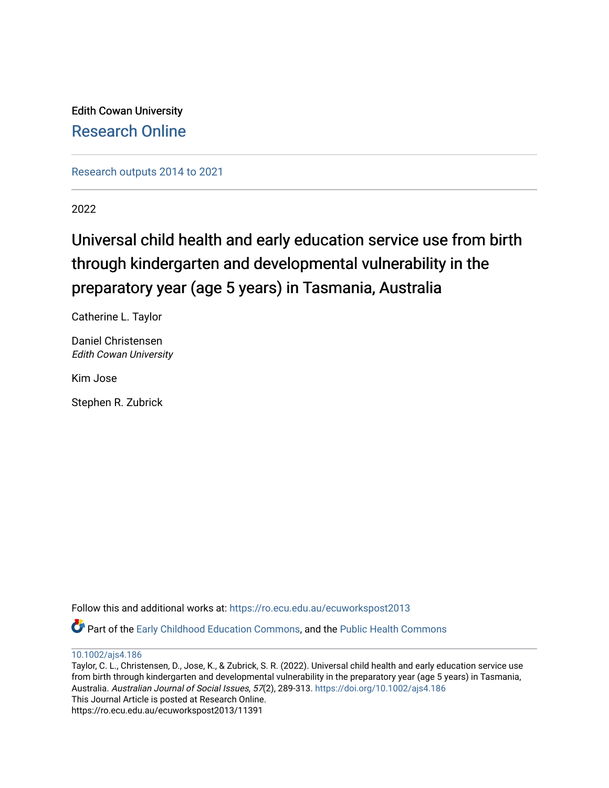Edith Cowan University [Research Online](https://ro.ecu.edu.au/) 

[Research outputs 2014 to 2021](https://ro.ecu.edu.au/ecuworkspost2013) 

2022

# Universal child health and early education service use from birth through kindergarten and developmental vulnerability in the preparatory year (age 5 years) in Tasmania, Australia

Catherine L. Taylor

Daniel Christensen Edith Cowan University

Kim Jose

Stephen R. Zubrick

Follow this and additional works at: [https://ro.ecu.edu.au/ecuworkspost2013](https://ro.ecu.edu.au/ecuworkspost2013?utm_source=ro.ecu.edu.au%2Fecuworkspost2013%2F11391&utm_medium=PDF&utm_campaign=PDFCoverPages) 

Part of the [Early Childhood Education Commons,](https://network.bepress.com/hgg/discipline/1377?utm_source=ro.ecu.edu.au%2Fecuworkspost2013%2F11391&utm_medium=PDF&utm_campaign=PDFCoverPages) and the [Public Health Commons](https://network.bepress.com/hgg/discipline/738?utm_source=ro.ecu.edu.au%2Fecuworkspost2013%2F11391&utm_medium=PDF&utm_campaign=PDFCoverPages) 

[10.1002/ajs4.186](http://dx.doi.org/10.1002/ajs4.186) 

Taylor, C. L., Christensen, D., Jose, K., & Zubrick, S. R. (2022). Universal child health and early education service use from birth through kindergarten and developmental vulnerability in the preparatory year (age 5 years) in Tasmania, Australia. Australian Journal of Social Issues, 57(2), 289-313. <https://doi.org/10.1002/ajs4.186> This Journal Article is posted at Research Online. https://ro.ecu.edu.au/ecuworkspost2013/11391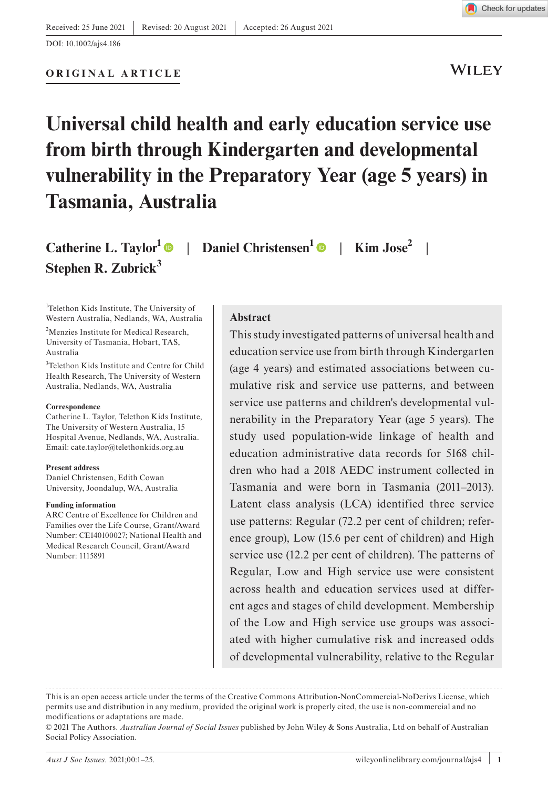DOI: 10.1002/ajs4.186

#### **ORIGINAL ARTICLE**

WILEY

# **Universal child health and early education service use from birth through Kindergarten and developmental vulnerability in the Preparatory Year (age 5 years) in Tasmania, Australia**

**Catherine L. Taylor**<sup>1</sup>  $\bullet$  | Daniel Christensen<sup>1</sup>  $\bullet$  | **Kim Jose**<sup>2</sup> **Stephen R. Zubrick<sup>3</sup>**

1 Telethon Kids Institute, The University of Western Australia, Nedlands, WA, Australia

2 Menzies Institute for Medical Research, University of Tasmania, Hobart, TAS, Australia

3 Telethon Kids Institute and Centre for Child Health Research, The University of Western Australia, Nedlands, WA, Australia

#### **Correspondence**

Catherine L. Taylor, Telethon Kids Institute, The University of Western Australia, 15 Hospital Avenue, Nedlands, WA, Australia. Email: [cate.taylor@telethonkids.org.au](mailto:cate.taylor@telethonkids.org.au)

#### **Present address**

Daniel Christensen, Edith Cowan University, Joondalup, WA, Australia

#### **Funding information**

ARC Centre of Excellence for Children and Families over the Life Course, Grant/Award Number: CE140100027; National Health and Medical Research Council, Grant/Award Number: 1115891

#### **Abstract**

This study investigated patterns of universal health and education service use from birth through Kindergarten (age 4 years) and estimated associations between cumulative risk and service use patterns, and between service use patterns and children's developmental vulnerability in the Preparatory Year (age 5 years). The study used population-wide linkage of health and education administrative data records for 5168 children who had a 2018 AEDC instrument collected in Tasmania and were born in Tasmania (2011–2013). Latent class analysis (LCA) identified three service use patterns: Regular (72.2 per cent of children; reference group), Low (15.6 per cent of children) and High service use (12.2 per cent of children). The patterns of Regular, Low and High service use were consistent across health and education services used at different ages and stages of child development. Membership of the Low and High service use groups was associated with higher cumulative risk and increased odds of developmental vulnerability, relative to the Regular

This is an open access article under the terms of the [Creative Commons Attribution-NonCommercial-NoDerivs](http://creativecommons.org/licenses/by-nc-nd/4.0/) License, which permits use and distribution in any medium, provided the original work is properly cited, the use is non-commercial and no modifications or adaptations are made.

<sup>© 2021</sup> The Authors. *Australian Journal of Social Issues* published by John Wiley & Sons Australia, Ltd on behalf of Australian Social Policy Association.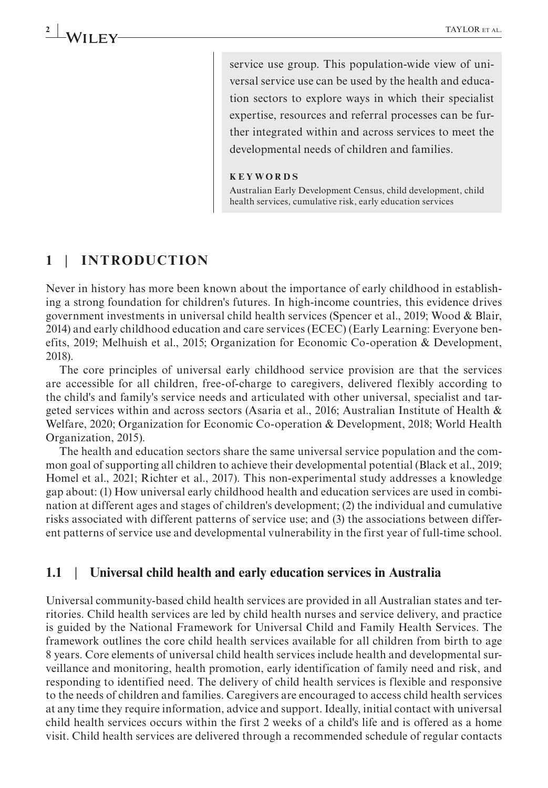service use group. This population-wide view of universal service use can be used by the health and education sectors to explore ways in which their specialist expertise, resources and referral processes can be further integrated within and across services to meet the developmental needs of children and families.

#### **KEYWORDS**

Australian Early Development Census, child development, child health services, cumulative risk, early education services

#### **1** | **INTRODUCTION**

Never in history has more been known about the importance of early childhood in establishing a strong foundation for children's futures. In high-income countries, this evidence drives government investments in universal child health services (Spencer et al., 2019; Wood & Blair, 2014) and early childhood education and care services (ECEC) (Early Learning: Everyone benefits, 2019; Melhuish et al., 2015; Organization for Economic Co-operation & Development, 2018).

The core principles of universal early childhood service provision are that the services are accessible for all children, free-of-charge to caregivers, delivered flexibly according to the child's and family's service needs and articulated with other universal, specialist and targeted services within and across sectors (Asaria et al., 2016; Australian Institute of Health & Welfare, 2020; Organization for Economic Co-operation & Development, 2018; World Health Organization, 2015).

The health and education sectors share the same universal service population and the common goal of supporting all children to achieve their developmental potential (Black et al., 2019; Homel et al., 2021; Richter et al., 2017). This non-experimental study addresses a knowledge gap about: (1) How universal early childhood health and education services are used in combination at different ages and stages of children's development; (2) the individual and cumulative risks associated with different patterns of service use; and (3) the associations between different patterns of service use and developmental vulnerability in the first year of full-time school.

#### **1.1** | **Universal child health and early education services in Australia**

Universal community-based child health services are provided in all Australian states and territories. Child health services are led by child health nurses and service delivery, and practice is guided by the National Framework for Universal Child and Family Health Services. The framework outlines the core child health services available for all children from birth to age 8 years. Core elements of universal child health services include health and developmental surveillance and monitoring, health promotion, early identification of family need and risk, and responding to identified need. The delivery of child health services is flexible and responsive to the needs of children and families. Caregivers are encouraged to access child health services at any time they require information, advice and support. Ideally, initial contact with universal child health services occurs within the first 2 weeks of a child's life and is offered as a home visit. Child health services are delivered through a recommended schedule of regular contacts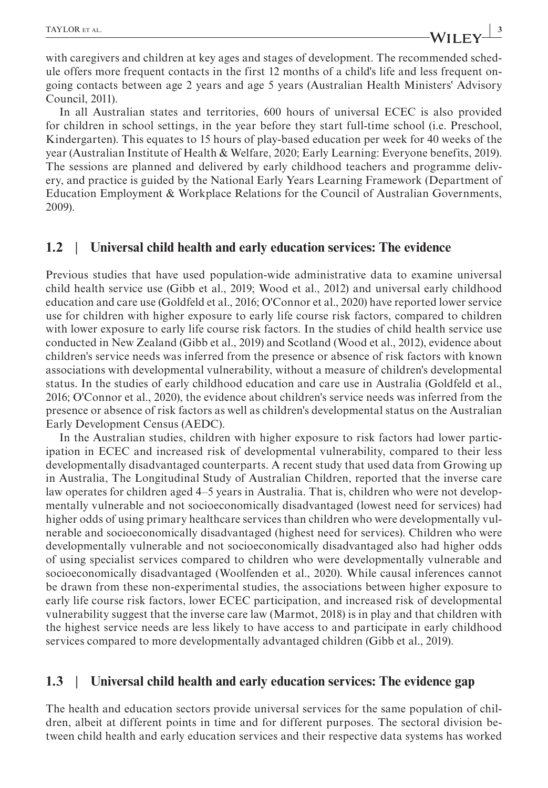**|** TAYLOR et al. **3**

with caregivers and children at key ages and stages of development. The recommended schedule offers more frequent contacts in the first 12 months of a child's life and less frequent ongoing contacts between age 2 years and age 5 years (Australian Health Ministers' Advisory Council, 2011).

In all Australian states and territories, 600 hours of universal ECEC is also provided for children in school settings, in the year before they start full-time school (i.e. Preschool, Kindergarten). This equates to 15 hours of play-based education per week for 40 weeks of the year (Australian Institute of Health & Welfare, 2020; Early Learning: Everyone benefits, 2019). The sessions are planned and delivered by early childhood teachers and programme delivery, and practice is guided by the National Early Years Learning Framework (Department of Education Employment & Workplace Relations for the Council of Australian Governments, 2009).

#### **1.2** | **Universal child health and early education services: The evidence**

Previous studies that have used population-wide administrative data to examine universal child health service use (Gibb et al., 2019; Wood et al., 2012) and universal early childhood education and care use (Goldfeld et al., 2016; O'Connor et al., 2020) have reported lower service use for children with higher exposure to early life course risk factors, compared to children with lower exposure to early life course risk factors. In the studies of child health service use conducted in New Zealand (Gibb et al., 2019) and Scotland (Wood et al., 2012), evidence about children's service needs was inferred from the presence or absence of risk factors with known associations with developmental vulnerability, without a measure of children's developmental status. In the studies of early childhood education and care use in Australia (Goldfeld et al., 2016; O'Connor et al., 2020), the evidence about children's service needs was inferred from the presence or absence of risk factors as well as children's developmental status on the Australian Early Development Census (AEDC).

In the Australian studies, children with higher exposure to risk factors had lower participation in ECEC and increased risk of developmental vulnerability, compared to their less developmentally disadvantaged counterparts. A recent study that used data from Growing up in Australia, The Longitudinal Study of Australian Children, reported that the inverse care law operates for children aged 4–5 years in Australia. That is, children who were not developmentally vulnerable and not socioeconomically disadvantaged (lowest need for services) had higher odds of using primary healthcare services than children who were developmentally vulnerable and socioeconomically disadvantaged (highest need for services). Children who were developmentally vulnerable and not socioeconomically disadvantaged also had higher odds of using specialist services compared to children who were developmentally vulnerable and socioeconomically disadvantaged (Woolfenden et al., 2020). While causal inferences cannot be drawn from these non-experimental studies, the associations between higher exposure to early life course risk factors, lower ECEC participation, and increased risk of developmental vulnerability suggest that the inverse care law (Marmot, 2018) is in play and that children with the highest service needs are less likely to have access to and participate in early childhood services compared to more developmentally advantaged children (Gibb et al., 2019).

#### **1.3** | **Universal child health and early education services: The evidence gap**

The health and education sectors provide universal services for the same population of children, albeit at different points in time and for different purposes. The sectoral division between child health and early education services and their respective data systems has worked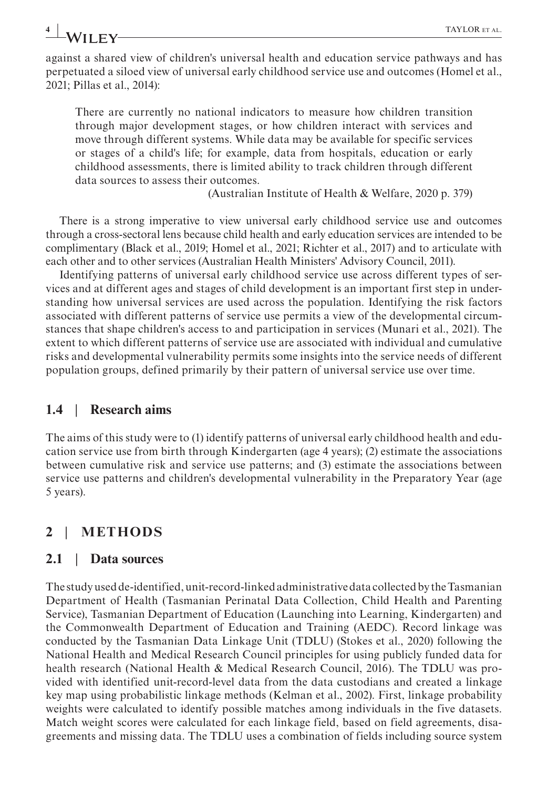against a shared view of children's universal health and education service pathways and has perpetuated a siloed view of universal early childhood service use and outcomes (Homel et al., 2021; Pillas et al., 2014):

There are currently no national indicators to measure how children transition through major development stages, or how children interact with services and move through different systems. While data may be available for specific services or stages of a child's life; for example, data from hospitals, education or early childhood assessments, there is limited ability to track children through different data sources to assess their outcomes.

(Australian Institute of Health & Welfare, 2020 p. 379)

There is a strong imperative to view universal early childhood service use and outcomes through a cross-sectoral lens because child health and early education services are intended to be complimentary (Black et al., 2019; Homel et al., 2021; Richter et al., 2017) and to articulate with each other and to other services (Australian Health Ministers' Advisory Council, 2011).

Identifying patterns of universal early childhood service use across different types of services and at different ages and stages of child development is an important first step in understanding how universal services are used across the population. Identifying the risk factors associated with different patterns of service use permits a view of the developmental circumstances that shape children's access to and participation in services (Munari et al., 2021). The extent to which different patterns of service use are associated with individual and cumulative risks and developmental vulnerability permits some insights into the service needs of different population groups, defined primarily by their pattern of universal service use over time.

## **1.4** | **Research aims**

The aims of this study were to (1) identify patterns of universal early childhood health and education service use from birth through Kindergarten (age 4 years); (2) estimate the associations between cumulative risk and service use patterns; and (3) estimate the associations between service use patterns and children's developmental vulnerability in the Preparatory Year (age 5 years).

# **2** | **METHODS**

## **2.1** | **Data sources**

The study used de-identified, unit-record-linked administrative data collected by the Tasmanian Department of Health (Tasmanian Perinatal Data Collection, Child Health and Parenting Service), Tasmanian Department of Education (Launching into Learning, Kindergarten) and the Commonwealth Department of Education and Training (AEDC). Record linkage was conducted by the Tasmanian Data Linkage Unit (TDLU) (Stokes et al., 2020) following the National Health and Medical Research Council principles for using publicly funded data for health research (National Health & Medical Research Council, 2016). The TDLU was provided with identified unit-record-level data from the data custodians and created a linkage key map using probabilistic linkage methods (Kelman et al., 2002). First, linkage probability weights were calculated to identify possible matches among individuals in the five datasets. Match weight scores were calculated for each linkage field, based on field agreements, disagreements and missing data. The TDLU uses a combination of fields including source system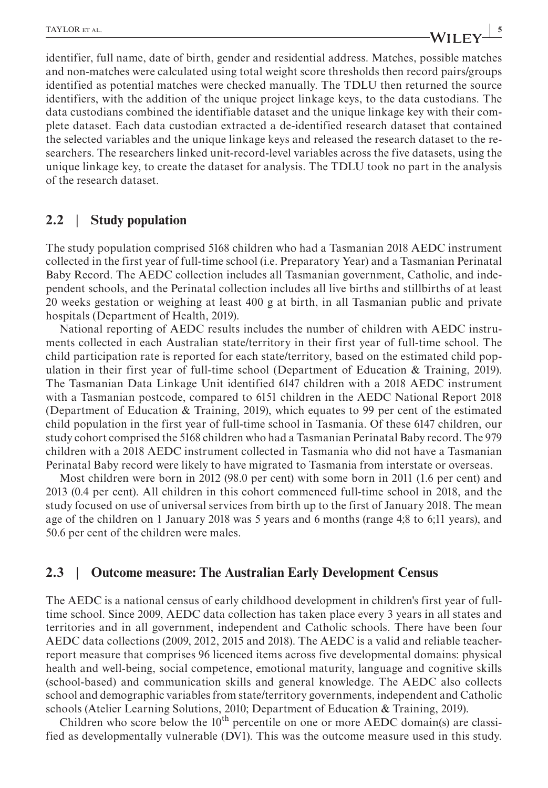**TAYLOR** ET AL.

identifier, full name, date of birth, gender and residential address. Matches, possible matches and non-matches were calculated using total weight score thresholds then record pairs/groups identified as potential matches were checked manually. The TDLU then returned the source identifiers, with the addition of the unique project linkage keys, to the data custodians. The data custodians combined the identifiable dataset and the unique linkage key with their complete dataset. Each data custodian extracted a de-identified research dataset that contained the selected variables and the unique linkage keys and released the research dataset to the researchers. The researchers linked unit-record-level variables across the five datasets, using the unique linkage key, to create the dataset for analysis. The TDLU took no part in the analysis of the research dataset.

#### **2.2** | **Study population**

The study population comprised 5168 children who had a Tasmanian 2018 AEDC instrument collected in the first year of full-time school (i.e. Preparatory Year) and a Tasmanian Perinatal Baby Record. The AEDC collection includes all Tasmanian government, Catholic, and independent schools, and the Perinatal collection includes all live births and stillbirths of at least 20 weeks gestation or weighing at least 400 g at birth, in all Tasmanian public and private hospitals (Department of Health, 2019).

National reporting of AEDC results includes the number of children with AEDC instruments collected in each Australian state/territory in their first year of full-time school. The child participation rate is reported for each state/territory, based on the estimated child population in their first year of full-time school (Department of Education & Training, 2019). The Tasmanian Data Linkage Unit identified 6147 children with a 2018 AEDC instrument with a Tasmanian postcode, compared to 6151 children in the AEDC National Report 2018 (Department of Education & Training, 2019), which equates to 99 per cent of the estimated child population in the first year of full-time school in Tasmania. Of these 6147 children, our study cohort comprised the 5168 children who had a Tasmanian Perinatal Baby record. The 979 children with a 2018 AEDC instrument collected in Tasmania who did not have a Tasmanian Perinatal Baby record were likely to have migrated to Tasmania from interstate or overseas.

Most children were born in 2012 (98.0 per cent) with some born in 2011 (1.6 per cent) and 2013 (0.4 per cent). All children in this cohort commenced full-time school in 2018, and the study focused on use of universal services from birth up to the first of January 2018. The mean age of the children on 1 January 2018 was 5 years and 6 months (range 4;8 to 6;11 years), and 50.6 per cent of the children were males.

#### **2.3** | **Outcome measure: The Australian Early Development Census**

The AEDC is a national census of early childhood development in children's first year of fulltime school. Since 2009, AEDC data collection has taken place every 3 years in all states and territories and in all government, independent and Catholic schools. There have been four AEDC data collections (2009, 2012, 2015 and 2018). The AEDC is a valid and reliable teacherreport measure that comprises 96 licenced items across five developmental domains: physical health and well-being, social competence, emotional maturity, language and cognitive skills (school-based) and communication skills and general knowledge. The AEDC also collects school and demographic variables from state/territory governments, independent and Catholic schools (Atelier Learning Solutions, 2010; Department of Education & Training, 2019).

Children who score below the  $10<sup>th</sup>$  percentile on one or more AEDC domain(s) are classified as developmentally vulnerable (DV1). This was the outcome measure used in this study.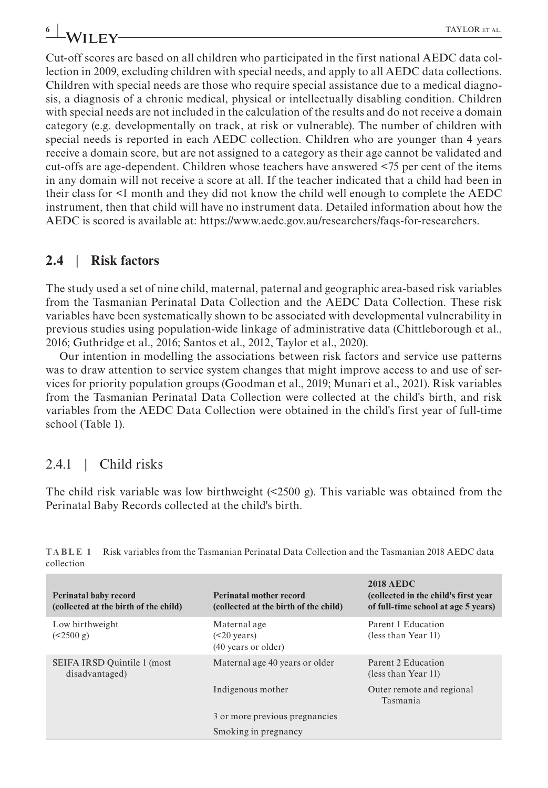Cut-off scores are based on all children who participated in the first national AEDC data collection in 2009, excluding children with special needs, and apply to all AEDC data collections. Children with special needs are those who require special assistance due to a medical diagnosis, a diagnosis of a chronic medical, physical or intellectually disabling condition. Children with special needs are not included in the calculation of the results and do not receive a domain category (e.g. developmentally on track, at risk or vulnerable). The number of children with special needs is reported in each AEDC collection. Children who are younger than 4 years receive a domain score, but are not assigned to a category as their age cannot be validated and cut-offs are age-dependent. Children whose teachers have answered <75 per cent of the items in any domain will not receive a score at all. If the teacher indicated that a child had been in their class for <1 month and they did not know the child well enough to complete the AEDC instrument, then that child will have no instrument data. Detailed information about how the AEDC is scored is available at: [https://www.aedc.gov.au/researchers/faqs-for-researchers.](https://www.aedc.gov.au/researchers/faqs-for-researchers)

#### **2.4** | **Risk factors**

The study used a set of nine child, maternal, paternal and geographic area-based risk variables from the Tasmanian Perinatal Data Collection and the AEDC Data Collection. These risk variables have been systematically shown to be associated with developmental vulnerability in previous studies using population-wide linkage of administrative data (Chittleborough et al., 2016; Guthridge et al., 2016; Santos et al., 2012, Taylor et al., 2020).

Our intention in modelling the associations between risk factors and service use patterns was to draw attention to service system changes that might improve access to and use of services for priority population groups (Goodman et al., 2019; Munari et al., 2021). Risk variables from the Tasmanian Perinatal Data Collection were collected at the child's birth, and risk variables from the AEDC Data Collection were obtained in the child's first year of full-time school (Table 1).

## 2.4.1 | Child risks

The child risk variable was low birthweight  $($ <2500 g). This variable was obtained from the Perinatal Baby Records collected at the child's birth.

| <b>Perinatal baby record</b><br>(collected at the birth of the child) | Perinatal mother record<br>(collected at the birth of the child) | <b>2018 AEDC</b><br>(collected in the child's first year)<br>of full-time school at age 5 years) |
|-----------------------------------------------------------------------|------------------------------------------------------------------|--------------------------------------------------------------------------------------------------|
| Low birthweight<br>(<2500 g)                                          | Maternal age<br>$(20 years)$<br>(40 years or older)              | Parent 1 Education<br>(less than Year 11)                                                        |
| SEIFA IRSD Quintile 1 (most<br>disadvantaged)                         | Maternal age 40 years or older                                   | Parent 2 Education<br>(less than Year 11)                                                        |
|                                                                       | Indigenous mother                                                | Outer remote and regional<br>Tasmania                                                            |
|                                                                       | 3 or more previous pregnancies                                   |                                                                                                  |
|                                                                       | Smoking in pregnancy                                             |                                                                                                  |

**TABLE 1** Risk variables from the Tasmanian Perinatal Data Collection and the Tasmanian 2018 AEDC data collection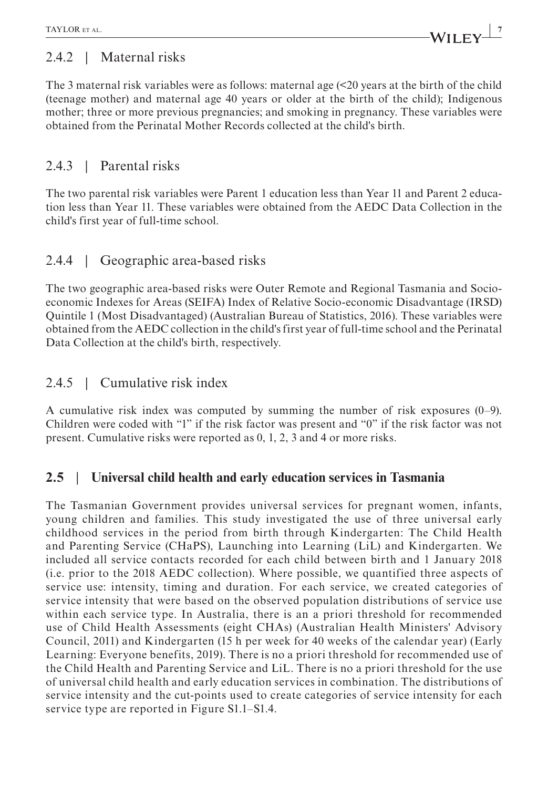# 2.4.2 | Maternal risks

The 3 maternal risk variables were as follows: maternal age (<20 years at the birth of the child (teenage mother) and maternal age 40 years or older at the birth of the child); Indigenous mother; three or more previous pregnancies; and smoking in pregnancy. These variables were obtained from the Perinatal Mother Records collected at the child's birth.

# 2.4.3 | Parental risks

The two parental risk variables were Parent 1 education less than Year 11 and Parent 2 education less than Year 11. These variables were obtained from the AEDC Data Collection in the child's first year of full-time school.

# 2.4.4 | Geographic area-based risks

The two geographic area-based risks were Outer Remote and Regional Tasmania and Socioeconomic Indexes for Areas (SEIFA) Index of Relative Socio-economic Disadvantage (IRSD) Quintile 1 (Most Disadvantaged) (Australian Bureau of Statistics, 2016). These variables were obtained from the AEDC collection in the child's first year of full-time school and the Perinatal Data Collection at the child's birth, respectively.

# 2.4.5 | Cumulative risk index

A cumulative risk index was computed by summing the number of risk exposures (0–9). Children were coded with "1" if the risk factor was present and "0" if the risk factor was not present. Cumulative risks were reported as 0, 1, 2, 3 and 4 or more risks.

# **2.5** | **Universal child health and early education services in Tasmania**

The Tasmanian Government provides universal services for pregnant women, infants, young children and families. This study investigated the use of three universal early childhood services in the period from birth through Kindergarten: The Child Health and Parenting Service (CHaPS), Launching into Learning (LiL) and Kindergarten. We included all service contacts recorded for each child between birth and 1 January 2018 (i.e. prior to the 2018 AEDC collection). Where possible, we quantified three aspects of service use: intensity, timing and duration. For each service, we created categories of service intensity that were based on the observed population distributions of service use within each service type. In Australia, there is an a priori threshold for recommended use of Child Health Assessments (eight CHAs) (Australian Health Ministers' Advisory Council, 2011) and Kindergarten (15 h per week for 40 weeks of the calendar year) (Early Learning: Everyone benefits, 2019). There is no a priori threshold for recommended use of the Child Health and Parenting Service and LiL. There is no a priori threshold for the use of universal child health and early education services in combination. The distributions of service intensity and the cut-points used to create categories of service intensity for each service type are reported in Figure S1.1–S1.4.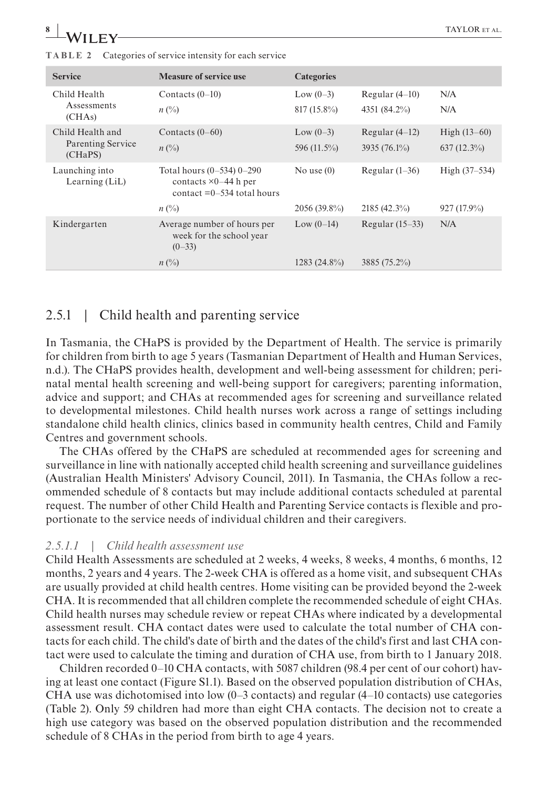| <b>Service</b>                   | <b>Measure of service use</b>                                                               | <b>Categories</b> |                   |                |
|----------------------------------|---------------------------------------------------------------------------------------------|-------------------|-------------------|----------------|
| Child Health                     | Contacts $(0-10)$                                                                           | Low $(0-3)$       | Regular $(4-10)$  | N/A            |
| Assessments<br>(CHAs)            | $n\ (\%)$                                                                                   | $817(15.8\%)$     | 4351 (84.2%)      | N/A            |
| Child Health and                 | Contacts $(0-60)$                                                                           | Low $(0-3)$       | Regular $(4-12)$  | High $(13-60)$ |
| Parenting Service<br>(CHaPS)     | $n\ (\%)$                                                                                   | 596 (11.5%)       | $3935(76.1\%)$    | $637(12.3\%)$  |
| Launching into<br>Learning (LiL) | Total hours $(0-534)$ 0-290<br>contacts $\times 0-44$ h per<br>contact $=0-534$ total hours | No use $(0)$      | Regular $(1-36)$  | High (37–534)  |
|                                  | $n\ (\%)$                                                                                   | $2056(39.8\%)$    | $2185(42.3\%)$    | $927(17.9\%)$  |
| Kindergarten                     | Average number of hours per<br>week for the school year<br>$(0-33)$                         | Low $(0-14)$      | Regular $(15-33)$ | N/A            |
|                                  | $n(^{0}_{0})$                                                                               | $1283(24.8\%)$    | 3885 (75.2%)      |                |

**TABLE 2** Categories of service intensity for each service

## 2.5.1 | Child health and parenting service

In Tasmania, the CHaPS is provided by the Department of Health. The service is primarily for children from birth to age 5 years (Tasmanian Department of Health and Human Services, n.d.). The CHaPS provides health, development and well-being assessment for children; perinatal mental health screening and well-being support for caregivers; parenting information, advice and support; and CHAs at recommended ages for screening and surveillance related to developmental milestones. Child health nurses work across a range of settings including standalone child health clinics, clinics based in community health centres, Child and Family Centres and government schools.

The CHAs offered by the CHaPS are scheduled at recommended ages for screening and surveillance in line with nationally accepted child health screening and surveillance guidelines (Australian Health Ministers' Advisory Council, 2011). In Tasmania, the CHAs follow a recommended schedule of 8 contacts but may include additional contacts scheduled at parental request. The number of other Child Health and Parenting Service contacts is flexible and proportionate to the service needs of individual children and their caregivers.

#### *2.5.1.1 | Child health assessment use*

Child Health Assessments are scheduled at 2 weeks, 4 weeks, 8 weeks, 4 months, 6 months, 12 months, 2 years and 4 years. The 2-week CHA is offered as a home visit, and subsequent CHAs are usually provided at child health centres. Home visiting can be provided beyond the 2-week CHA. It is recommended that all children complete the recommended schedule of eight CHAs. Child health nurses may schedule review or repeat CHAs where indicated by a developmental assessment result. CHA contact dates were used to calculate the total number of CHA contacts for each child. The child's date of birth and the dates of the child's first and last CHA contact were used to calculate the timing and duration of CHA use, from birth to 1 January 2018.

Children recorded 0–10 CHA contacts, with 5087 children (98.4 per cent of our cohort) having at least one contact (Figure S1.1). Based on the observed population distribution of CHAs, CHA use was dichotomised into low  $(0-3$  contacts) and regular  $(4-10$  contacts) use categories (Table 2). Only 59 children had more than eight CHA contacts. The decision not to create a high use category was based on the observed population distribution and the recommended schedule of 8 CHAs in the period from birth to age 4 years.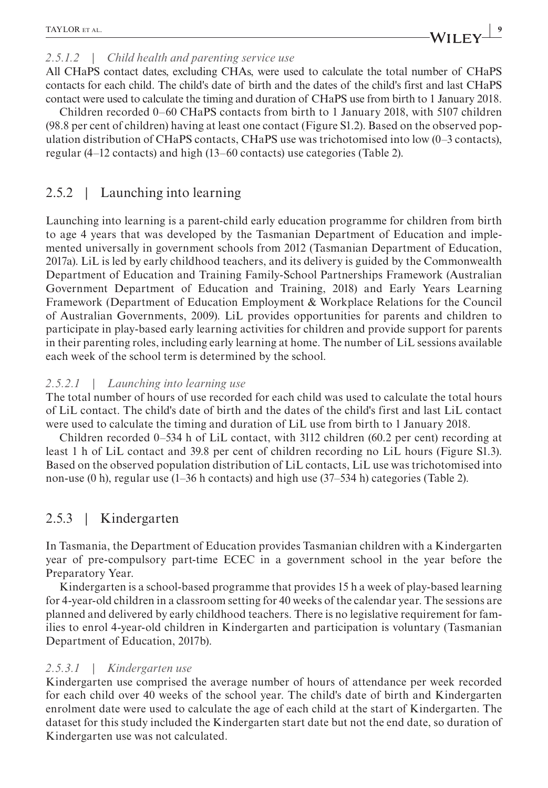#### *2.5.1.2 | Child health and parenting service use*

All CHaPS contact dates, excluding CHAs, were used to calculate the total number of CHaPS contacts for each child. The child's date of birth and the dates of the child's first and last CHaPS contact were used to calculate the timing and duration of CHaPS use from birth to 1 January 2018.

Children recorded 0–60 CHaPS contacts from birth to 1 January 2018, with 5107 children (98.8 per cent of children) having at least one contact (Figure S1.2). Based on the observed population distribution of CHaPS contacts, CHaPS use was trichotomised into low (0–3 contacts), regular (4–12 contacts) and high (13–60 contacts) use categories (Table 2).

# 2.5.2 | Launching into learning

Launching into learning is a parent-child early education programme for children from birth to age 4 years that was developed by the Tasmanian Department of Education and implemented universally in government schools from 2012 (Tasmanian Department of Education, 2017a). LiL is led by early childhood teachers, and its delivery is guided by the Commonwealth Department of Education and Training Family-School Partnerships Framework (Australian Government Department of Education and Training, 2018) and Early Years Learning Framework (Department of Education Employment & Workplace Relations for the Council of Australian Governments, 2009). LiL provides opportunities for parents and children to participate in play-based early learning activities for children and provide support for parents in their parenting roles, including early learning at home. The number of LiL sessions available each week of the school term is determined by the school.

#### *2.5.2.1 | Launching into learning use*

The total number of hours of use recorded for each child was used to calculate the total hours of LiL contact. The child's date of birth and the dates of the child's first and last LiL contact were used to calculate the timing and duration of LiL use from birth to 1 January 2018.

Children recorded 0–534 h of LiL contact, with 3112 children (60.2 per cent) recording at least 1 h of LiL contact and 39.8 per cent of children recording no LiL hours (Figure S1.3). Based on the observed population distribution of LiL contacts, LiL use was trichotomised into non-use (0 h), regular use (1–36 h contacts) and high use (37–534 h) categories (Table 2).

# 2.5.3 | Kindergarten

In Tasmania, the Department of Education provides Tasmanian children with a Kindergarten year of pre-compulsory part-time ECEC in a government school in the year before the Preparatory Year.

Kindergarten is a school-based programme that provides 15 h a week of play-based learning for 4-year-old children in a classroom setting for 40 weeks of the calendar year. The sessions are planned and delivered by early childhood teachers. There is no legislative requirement for families to enrol 4-year-old children in Kindergarten and participation is voluntary (Tasmanian Department of Education, 2017b).

#### *2.5.3.1 | Kindergarten use*

Kindergarten use comprised the average number of hours of attendance per week recorded for each child over 40 weeks of the school year. The child's date of birth and Kindergarten enrolment date were used to calculate the age of each child at the start of Kindergarten. The dataset for this study included the Kindergarten start date but not the end date, so duration of Kindergarten use was not calculated.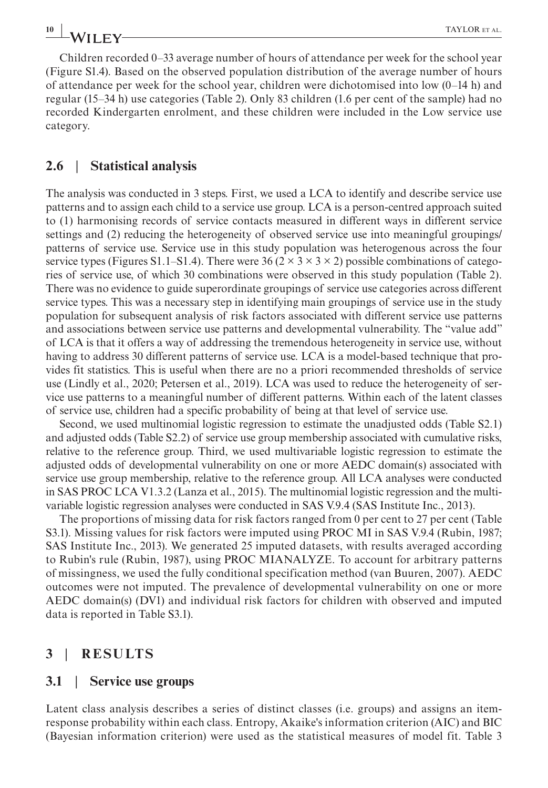Children recorded 0–33 average number of hours of attendance per week for the school year (Figure S1.4). Based on the observed population distribution of the average number of hours of attendance per week for the school year, children were dichotomised into low (0–14 h) and regular (15–34 h) use categories (Table 2). Only 83 children (1.6 per cent of the sample) had no recorded Kindergarten enrolment, and these children were included in the Low service use category.

#### **2.6** | **Statistical analysis**

The analysis was conducted in 3 steps. First, we used a LCA to identify and describe service use patterns and to assign each child to a service use group. LCA is a person-centred approach suited to (1) harmonising records of service contacts measured in different ways in different service settings and (2) reducing the heterogeneity of observed service use into meaningful groupings/ patterns of service use. Service use in this study population was heterogenous across the four service types (Figures S1.1–S1.4). There were 36 ( $2 \times 3 \times 3 \times 2$ ) possible combinations of categories of service use, of which 30 combinations were observed in this study population (Table 2). There was no evidence to guide superordinate groupings of service use categories across different service types. This was a necessary step in identifying main groupings of service use in the study population for subsequent analysis of risk factors associated with different service use patterns and associations between service use patterns and developmental vulnerability. The "value add" of LCA is that it offers a way of addressing the tremendous heterogeneity in service use, without having to address 30 different patterns of service use. LCA is a model-based technique that provides fit statistics. This is useful when there are no a priori recommended thresholds of service use (Lindly et al., 2020; Petersen et al., 2019). LCA was used to reduce the heterogeneity of service use patterns to a meaningful number of different patterns. Within each of the latent classes of service use, children had a specific probability of being at that level of service use.

Second, we used multinomial logistic regression to estimate the unadjusted odds (Table S2.1) and adjusted odds (Table S2.2) of service use group membership associated with cumulative risks, relative to the reference group. Third, we used multivariable logistic regression to estimate the adjusted odds of developmental vulnerability on one or more AEDC domain(s) associated with service use group membership, relative to the reference group. All LCA analyses were conducted in SAS PROC LCA V1.3.2 (Lanza et al., 2015). The multinomial logistic regression and the multivariable logistic regression analyses were conducted in SAS V.9.4 (SAS Institute Inc., 2013).

The proportions of missing data for risk factors ranged from 0 per cent to 27 per cent (Table S3.1). Missing values for risk factors were imputed using PROC MI in SAS V.9.4 (Rubin, 1987; SAS Institute Inc., 2013). We generated 25 imputed datasets, with results averaged according to Rubin's rule (Rubin, 1987), using PROC MIANALYZE. To account for arbitrary patterns of missingness, we used the fully conditional specification method (van Buuren, 2007). AEDC outcomes were not imputed. The prevalence of developmental vulnerability on one or more AEDC domain(s) (DV1) and individual risk factors for children with observed and imputed data is reported in Table S3.1).

#### **3** | **RESULTS**

#### **3.1** | **Service use groups**

Latent class analysis describes a series of distinct classes (i.e. groups) and assigns an itemresponse probability within each class. Entropy, Akaike's information criterion (AIC) and BIC (Bayesian information criterion) were used as the statistical measures of model fit. Table 3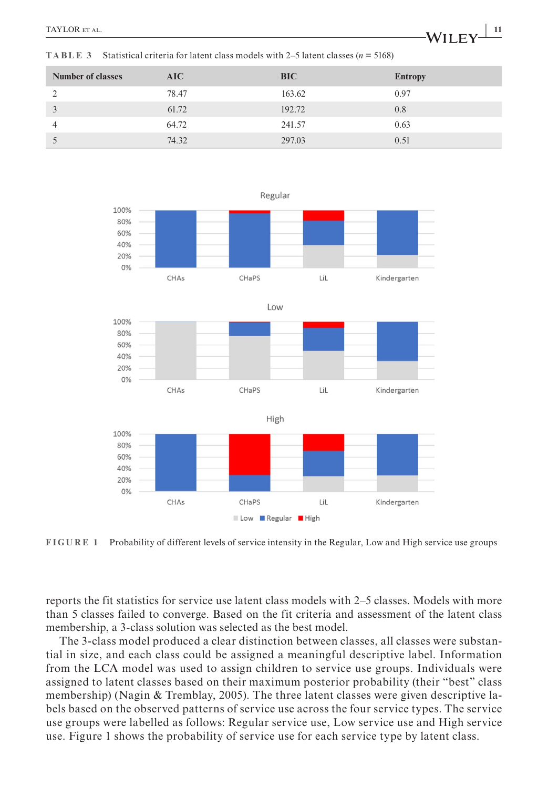**TABLE 3** Statistical criteria for latent class models with 2–5 latent classes ( $n = 5168$ )

| <b>Number of classes</b> | AIC   | <b>BIC</b> | <b>Entropy</b> |
|--------------------------|-------|------------|----------------|
| 2                        | 78.47 | 163.62     | 0.97           |
| 3                        | 61.72 | 192.72     | 0.8            |
| 4                        | 64.72 | 241.57     | 0.63           |
| $\mathcal{L}$            | 74.32 | 297.03     | 0.51           |



**FIGURE 1** Probability of different levels of service intensity in the Regular, Low and High service use groups

reports the fit statistics for service use latent class models with 2–5 classes. Models with more than 5 classes failed to converge. Based on the fit criteria and assessment of the latent class membership, a 3-class solution was selected as the best model.

The 3-class model produced a clear distinction between classes, all classes were substantial in size, and each class could be assigned a meaningful descriptive label. Information from the LCA model was used to assign children to service use groups. Individuals were assigned to latent classes based on their maximum posterior probability (their "best" class membership) (Nagin & Tremblay, 2005). The three latent classes were given descriptive labels based on the observed patterns of service use across the four service types. The service use groups were labelled as follows: Regular service use, Low service use and High service use. Figure 1 shows the probability of service use for each service type by latent class.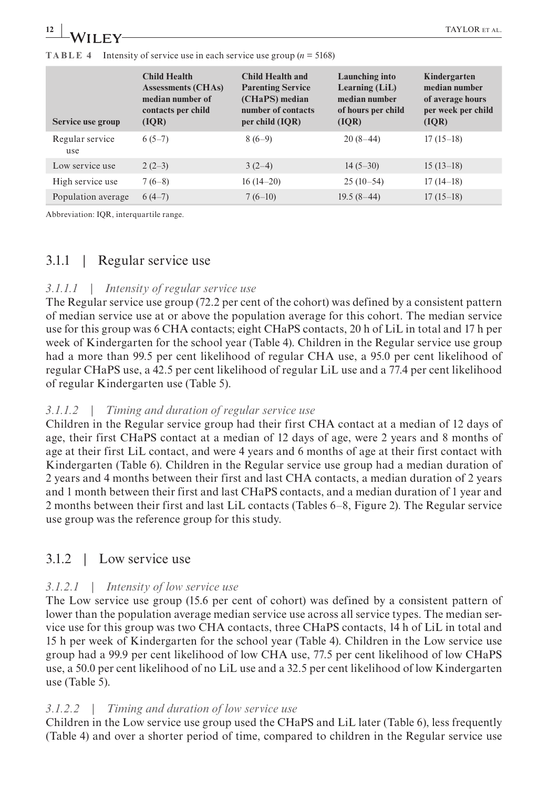| $\frac{12}{12}$ WILEY- |                                                                                | TAYLOR ET AL. |
|------------------------|--------------------------------------------------------------------------------|---------------|
|                        |                                                                                |               |
|                        | <b>TABLE</b> 4 Intensity of service use in each service use group $(n = 5168)$ |               |

| Service use group      | <b>Child Health</b><br><b>Assessments (CHAs)</b><br>median number of<br>contacts per child<br>(IOR) | <b>Child Health and</b><br><b>Parenting Service</b><br>(CHaPS) median<br>number of contacts<br>per child (IQR) | Launching into<br>Learning (LiL)<br>median number<br>of hours per child<br>(IOR) | Kindergarten<br>median number<br>of average hours<br>per week per child<br>( IQR) |
|------------------------|-----------------------------------------------------------------------------------------------------|----------------------------------------------------------------------------------------------------------------|----------------------------------------------------------------------------------|-----------------------------------------------------------------------------------|
| Regular service<br>use | $6(5-7)$                                                                                            | $8(6-9)$                                                                                                       | $20(8-44)$                                                                       | $17(15-18)$                                                                       |
| Low service use        | $2(2-3)$                                                                                            | $3(2-4)$                                                                                                       | $14(5-30)$                                                                       | $15(13-18)$                                                                       |
| High service use       | $7(6-8)$                                                                                            | $16(14-20)$                                                                                                    | $25(10-54)$                                                                      | $17(14-18)$                                                                       |
| Population average     | $6(4-7)$                                                                                            | $7(6-10)$                                                                                                      | $19.5(8-44)$                                                                     | $17(15-18)$                                                                       |

Abbreviation: IQR, interquartile range.

# 3.1.1 | Regular service use

#### *3.1.1.1 | Intensity of regular service use*

The Regular service use group (72.2 per cent of the cohort) was defined by a consistent pattern of median service use at or above the population average for this cohort. The median service use for this group was 6 CHA contacts; eight CHaPS contacts, 20 h of LiL in total and 17 h per week of Kindergarten for the school year (Table 4). Children in the Regular service use group had a more than 99.5 per cent likelihood of regular CHA use, a 95.0 per cent likelihood of regular CHaPS use, a 42.5 per cent likelihood of regular LiL use and a 77.4 per cent likelihood of regular Kindergarten use (Table 5).

#### *3.1.1.2 | Timing and duration of regular service use*

Children in the Regular service group had their first CHA contact at a median of 12 days of age, their first CHaPS contact at a median of 12 days of age, were 2 years and 8 months of age at their first LiL contact, and were 4 years and 6 months of age at their first contact with Kindergarten (Table 6). Children in the Regular service use group had a median duration of 2 years and 4 months between their first and last CHA contacts, a median duration of 2 years and 1 month between their first and last CHaPS contacts, and a median duration of 1 year and 2 months between their first and last LiL contacts (Tables 6–8, Figure 2). The Regular service use group was the reference group for this study.

# 3.1.2 | Low service use

## *3.1.2.1 | Intensity of low service use*

The Low service use group (15.6 per cent of cohort) was defined by a consistent pattern of lower than the population average median service use across all service types. The median service use for this group was two CHA contacts, three CHaPS contacts, 14 h of LiL in total and 15 h per week of Kindergarten for the school year (Table 4). Children in the Low service use group had a 99.9 per cent likelihood of low CHA use, 77.5 per cent likelihood of low CHaPS use, a 50.0 per cent likelihood of no LiL use and a 32.5 per cent likelihood of low Kindergarten use (Table 5).

#### *3.1.2.2 | Timing and duration of low service use*

Children in the Low service use group used the CHaPS and LiL later (Table 6), less frequently (Table 4) and over a shorter period of time, compared to children in the Regular service use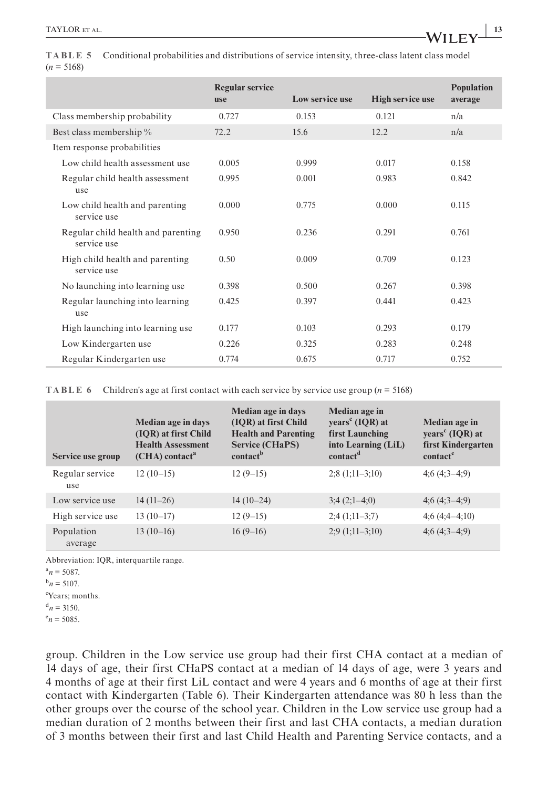|              | TABLE 5 Conditional probabilities and distributions of service intensity, three-class latent class model |
|--------------|----------------------------------------------------------------------------------------------------------|
| $(n = 5168)$ |                                                                                                          |

|                                                   | <b>Regular service</b><br><b>use</b> | Low service use | <b>High service use</b> | <b>Population</b><br>average |
|---------------------------------------------------|--------------------------------------|-----------------|-------------------------|------------------------------|
| Class membership probability                      | 0.727                                | 0.153           | 0.121                   | n/a                          |
| Best class membership %                           | 72.2                                 | 15.6            | 12.2                    | n/a                          |
| Item response probabilities                       |                                      |                 |                         |                              |
| Low child health assessment use                   | 0.005                                | 0.999           | 0.017                   | 0.158                        |
| Regular child health assessment<br>use            | 0.995                                | 0.001           | 0.983                   | 0.842                        |
| Low child health and parenting<br>service use     | 0.000                                | 0.775           | 0.000                   | 0.115                        |
| Regular child health and parenting<br>service use | 0.950                                | 0.236           | 0.291                   | 0.761                        |
| High child health and parenting<br>service use    | 0.50                                 | 0.009           | 0.709                   | 0.123                        |
| No launching into learning use                    | 0.398                                | 0.500           | 0.267                   | 0.398                        |
| Regular launching into learning<br>use            | 0.425                                | 0.397           | 0.441                   | 0.423                        |
| High launching into learning use                  | 0.177                                | 0.103           | 0.293                   | 0.179                        |
| Low Kindergarten use                              | 0.226                                | 0.325           | 0.283                   | 0.248                        |
| Regular Kindergarten use                          | 0.774                                | 0.675           | 0.717                   | 0.752                        |

**TABLE 6** Children's age at first contact with each service by service use group  $(n = 5168)$ 

| Service use group      | Median age in days<br>(IOR) at first Child<br><b>Health Assessment</b><br>$(CHA)$ contact <sup>a</sup> | Median age in days<br>(IOR) at first Child<br><b>Health and Parenting</b><br><b>Service (CHaPS)</b><br>contact <sup>b</sup> | Median age in<br>years <sup>c</sup> (IQR) at<br>first Launching<br>into Learning (LiL)<br>contact <sup>d</sup> | Median age in<br>years <sup>c</sup> (IQR) at<br>first Kindergarten<br>contact <sup>e</sup> |
|------------------------|--------------------------------------------------------------------------------------------------------|-----------------------------------------------------------------------------------------------------------------------------|----------------------------------------------------------------------------------------------------------------|--------------------------------------------------------------------------------------------|
| Regular service<br>use | $12(10-15)$                                                                                            | $12(9-15)$                                                                                                                  | $2;8(1;11-3;10)$                                                                                               | $4:6(4:3-4:9)$                                                                             |
| Low service use        | $14(11-26)$                                                                                            | $14(10-24)$                                                                                                                 | $3;4(2;1-4;0)$                                                                                                 | $4;6(4;3-4;9)$                                                                             |
| High service use       | $13(10-17)$                                                                                            | $12(9-15)$                                                                                                                  | $2;4(1;11-3;7)$                                                                                                | $4;6(4;4-4;10)$                                                                            |
| Population<br>average  | $13(10-16)$                                                                                            | $16(9-16)$                                                                                                                  | $2;9(1;11-3;10)$                                                                                               | $4;6(4;3-4;9)$                                                                             |

Abbreviation: IQR, interquartile range.

 $a_n = 5087$ .

 $^{b}n = 5107.$ 

c Years; months.

 $d_n = 3150.$ 

 $e_n = 5085.$ 

group. Children in the Low service use group had their first CHA contact at a median of 14 days of age, their first CHaPS contact at a median of 14 days of age, were 3 years and 4 months of age at their first LiL contact and were 4 years and 6 months of age at their first contact with Kindergarten (Table 6). Their Kindergarten attendance was 80 h less than the other groups over the course of the school year. Children in the Low service use group had a median duration of 2 months between their first and last CHA contacts, a median duration of 3 months between their first and last Child Health and Parenting Service contacts, and a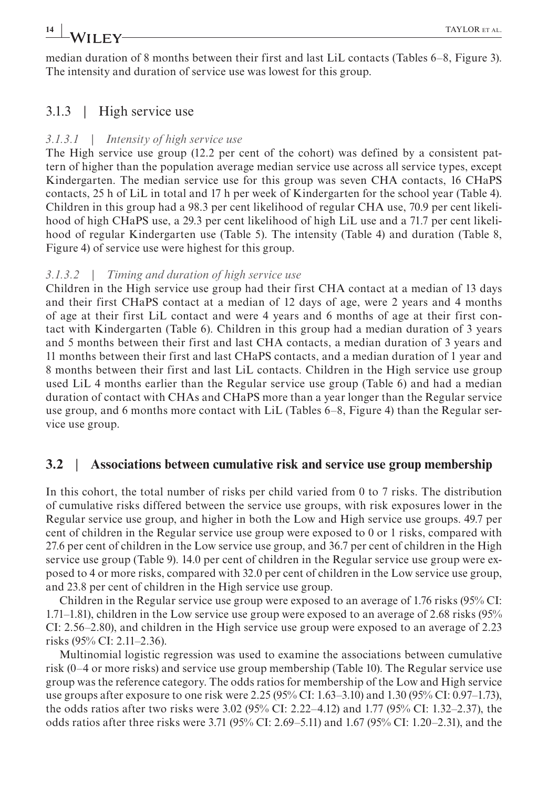# **14 |** TAYLOR et al.

median duration of 8 months between their first and last LiL contacts (Tables 6–8, Figure 3). The intensity and duration of service use was lowest for this group.

# 3.1.3 | High service use

#### *3.1.3.1 | Intensity of high service use*

The High service use group (12.2 per cent of the cohort) was defined by a consistent pattern of higher than the population average median service use across all service types, except Kindergarten. The median service use for this group was seven CHA contacts, 16 CHaPS contacts, 25 h of LiL in total and 17 h per week of Kindergarten for the school year (Table 4). Children in this group had a 98.3 per cent likelihood of regular CHA use, 70.9 per cent likelihood of high CHaPS use, a 29.3 per cent likelihood of high LiL use and a 71.7 per cent likelihood of regular Kindergarten use (Table 5). The intensity (Table 4) and duration (Table 8, Figure 4) of service use were highest for this group.

#### *3.1.3.2 | Timing and duration of high service use*

Children in the High service use group had their first CHA contact at a median of 13 days and their first CHaPS contact at a median of 12 days of age, were 2 years and 4 months of age at their first LiL contact and were 4 years and 6 months of age at their first contact with Kindergarten (Table 6). Children in this group had a median duration of 3 years and 5 months between their first and last CHA contacts, a median duration of 3 years and 11 months between their first and last CHaPS contacts, and a median duration of 1 year and 8 months between their first and last LiL contacts. Children in the High service use group used LiL 4 months earlier than the Regular service use group (Table 6) and had a median duration of contact with CHAs and CHaPS more than a year longer than the Regular service use group, and 6 months more contact with LiL (Tables 6–8, Figure 4) than the Regular service use group.

## **3.2** | **Associations between cumulative risk and service use group membership**

In this cohort, the total number of risks per child varied from 0 to 7 risks. The distribution of cumulative risks differed between the service use groups, with risk exposures lower in the Regular service use group, and higher in both the Low and High service use groups. 49.7 per cent of children in the Regular service use group were exposed to 0 or 1 risks, compared with 27.6 per cent of children in the Low service use group, and 36.7 per cent of children in the High service use group (Table 9). 14.0 per cent of children in the Regular service use group were exposed to 4 or more risks, compared with 32.0 per cent of children in the Low service use group, and 23.8 per cent of children in the High service use group.

Children in the Regular service use group were exposed to an average of 1.76 risks (95% CI: 1.71–1.81), children in the Low service use group were exposed to an average of 2.68 risks (95% CI: 2.56–2.80), and children in the High service use group were exposed to an average of 2.23 risks (95% CI: 2.11–2.36).

Multinomial logistic regression was used to examine the associations between cumulative risk (0–4 or more risks) and service use group membership (Table 10). The Regular service use group was the reference category. The odds ratios for membership of the Low and High service use groups after exposure to one risk were 2.25 (95% CI: 1.63–3.10) and 1.30 (95% CI: 0.97–1.73), the odds ratios after two risks were 3.02 (95% CI: 2.22–4.12) and 1.77 (95% CI: 1.32–2.37), the odds ratios after three risks were 3.71 (95% CI: 2.69–5.11) and 1.67 (95% CI: 1.20–2.31), and the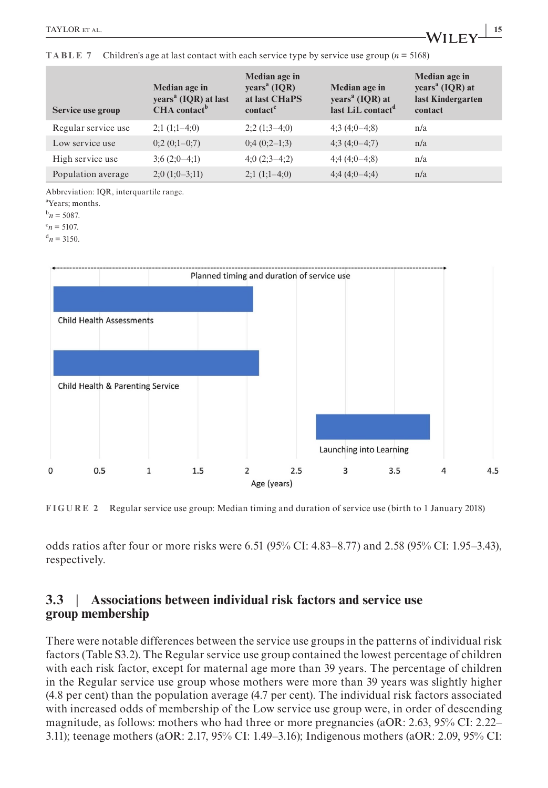| Service use group   | Median age in<br>years <sup>a</sup> (IQR) at last<br>CHA contact <sup>b</sup> | Median age in<br>years <sup>a</sup> (IQR)<br>at last CHaPS<br>contact <sup>c</sup> | Median age in<br>years <sup>a</sup> (IQR) at<br>last LiL contact <sup>d</sup> | Median age in<br>years <sup>a</sup> (IQR) at<br>last Kindergarten<br>contact |
|---------------------|-------------------------------------------------------------------------------|------------------------------------------------------------------------------------|-------------------------------------------------------------------------------|------------------------------------------------------------------------------|
| Regular service use | $2;1(1;1-4;0)$                                                                | $2;2(1;3-4;0)$                                                                     | $4;3(4;0-4;8)$                                                                | n/a                                                                          |
| Low service use     | $0;2(0;1-0;7)$                                                                | $0;4(0;2-1;3)$                                                                     | $4;3(4;0-4;7)$                                                                | n/a                                                                          |
| High service use    | $3;6(2;0-4;1)$                                                                | $4;0(2;3-4;2)$                                                                     | $4;4(4;0-4;8)$                                                                | n/a                                                                          |
| Population average  | $2;0(1;0-3;11)$                                                               | $2;1(1;1-4;0)$                                                                     | $4;4(4;0-4;4)$                                                                | n/a                                                                          |

**TABLE 7** Children's age at last contact with each service type by service use group (*n* = 5168)

Abbreviation: IQR, interquartile range.

a Years; months.

 $^{b}n = 5087.$ 

 $c_n = 5107$ .

 $d_n = 3150.$ 



**FIGURE 2** Regular service use group: Median timing and duration of service use (birth to 1 January 2018)

odds ratios after four or more risks were 6.51 (95% CI: 4.83–8.77) and 2.58 (95% CI: 1.95–3.43), respectively.

#### **3.3** | **Associations between individual risk factors and service use group membership**

There were notable differences between the service use groups in the patterns of individual risk factors (Table S3.2). The Regular service use group contained the lowest percentage of children with each risk factor, except for maternal age more than 39 years. The percentage of children in the Regular service use group whose mothers were more than 39 years was slightly higher (4.8 per cent) than the population average (4.7 per cent). The individual risk factors associated with increased odds of membership of the Low service use group were, in order of descending magnitude, as follows: mothers who had three or more pregnancies (aOR: 2.63, 95% CI: 2.22– 3.11); teenage mothers (aOR: 2.17, 95% CI: 1.49–3.16); Indigenous mothers (aOR: 2.09, 95% CI: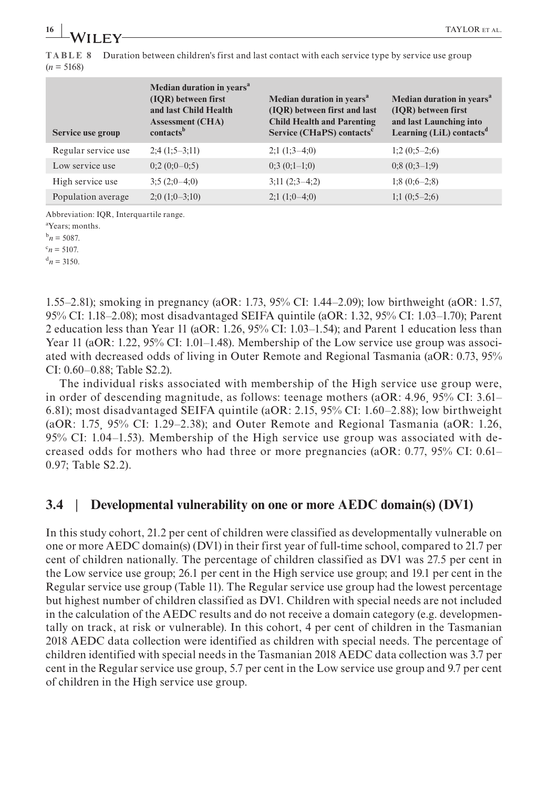**TABLE 8** Duration between children's first and last contact with each service type by service use group  $(n = 5168)$ 

| Service use group   | Median duration in years <sup>a</sup><br>(IQR) between first<br>and last Child Health<br><b>Assessment (CHA)</b><br>contacts <sup>b</sup> | Median duration in years <sup>a</sup><br>(IOR) between first and last<br><b>Child Health and Parenting</b><br>Service (CHaPS) contacts <sup>c</sup> | Median duration in years <sup>a</sup><br>(IQR) between first<br>and last Launching into<br>Learning (LiL) contacts <sup>d</sup> |
|---------------------|-------------------------------------------------------------------------------------------------------------------------------------------|-----------------------------------------------------------------------------------------------------------------------------------------------------|---------------------------------------------------------------------------------------------------------------------------------|
| Regular service use | $2;4(1;5-3;11)$                                                                                                                           | $2;1(1;3-4;0)$                                                                                                                                      | $1;2(0;5-2;6)$                                                                                                                  |
| Low service use     | $0;2(0;0-0;5)$                                                                                                                            | $0;3(0;1-1;0)$                                                                                                                                      | $0; 8(0; 3-1; 9)$                                                                                                               |
| High service use    | $3;5(2;0-4;0)$                                                                                                                            | $3;11(2;3-4;2)$                                                                                                                                     | $1; 8(0; 6-2; 8)$                                                                                                               |
| Population average  | $2;0(1;0-3;10)$                                                                                                                           | $2;1(1;0-4;0)$                                                                                                                                      | $1;1(0;5-2;6)$                                                                                                                  |

Abbreviation: IQR, Interquartile range.

a Years; months.

 $^{b}n = 5087.$ 

 $c_n = 5107$ .

 $d_n = 3150.$ 

1.55–2.81); smoking in pregnancy (aOR: 1.73, 95% CI: 1.44–2.09); low birthweight (aOR: 1.57, 95% CI: 1.18–2.08); most disadvantaged SEIFA quintile (aOR: 1.32, 95% CI: 1.03–1.70); Parent 2 education less than Year 11 (aOR: 1.26, 95% CI: 1.03–1.54); and Parent 1 education less than Year 11 (aOR: 1.22, 95% CI: 1.01–1.48). Membership of the Low service use group was associated with decreased odds of living in Outer Remote and Regional Tasmania (aOR: 0.73, 95% CI: 0.60–0.88; Table S2.2).

The individual risks associated with membership of the High service use group were, in order of descending magnitude, as follows: teenage mothers (aOR: 4.96¸ 95% CI: 3.61– 6.81); most disadvantaged SEIFA quintile (aOR: 2.15, 95% CI: 1.60–2.88); low birthweight (aOR: 1.75¸ 95% CI: 1.29–2.38); and Outer Remote and Regional Tasmania (aOR: 1.26, 95% CI: 1.04–1.53). Membership of the High service use group was associated with decreased odds for mothers who had three or more pregnancies (aOR: 0.77, 95% CI: 0.61– 0.97; Table S2.2).

## **3.4** | **Developmental vulnerability on one or more AEDC domain(s) (DV1)**

In this study cohort, 21.2 per cent of children were classified as developmentally vulnerable on one or more AEDC domain(s) (DV1) in their first year of full-time school, compared to 21.7 per cent of children nationally. The percentage of children classified as DV1 was 27.5 per cent in the Low service use group; 26.1 per cent in the High service use group; and 19.1 per cent in the Regular service use group (Table 11). The Regular service use group had the lowest percentage but highest number of children classified as DV1. Children with special needs are not included in the calculation of the AEDC results and do not receive a domain category (e.g. developmentally on track, at risk or vulnerable). In this cohort, 4 per cent of children in the Tasmanian 2018 AEDC data collection were identified as children with special needs. The percentage of children identified with special needs in the Tasmanian 2018 AEDC data collection was 3.7 per cent in the Regular service use group, 5.7 per cent in the Low service use group and 9.7 per cent of children in the High service use group.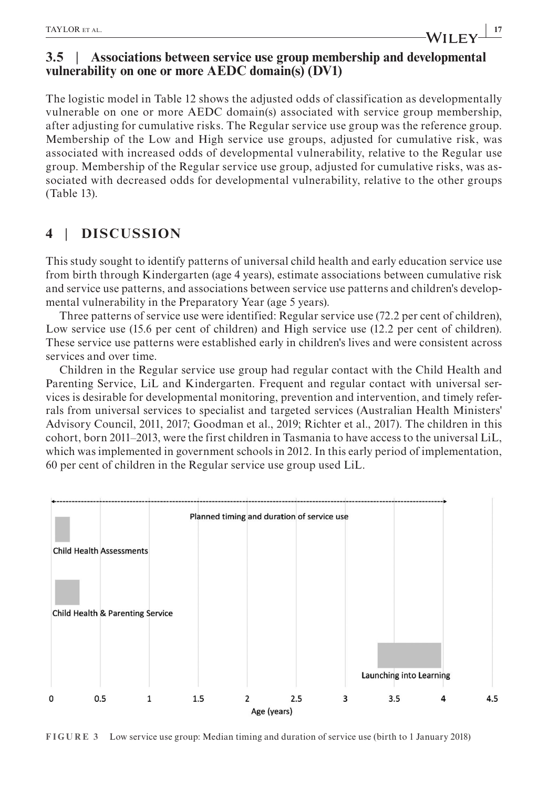# **3.5** | **Associations between service use group membership and developmental vulnerability on one or more AEDC domain(s) (DV1)**

The logistic model in Table 12 shows the adjusted odds of classification as developmentally vulnerable on one or more AEDC domain(s) associated with service group membership, after adjusting for cumulative risks. The Regular service use group was the reference group. Membership of the Low and High service use groups, adjusted for cumulative risk, was associated with increased odds of developmental vulnerability, relative to the Regular use group. Membership of the Regular service use group, adjusted for cumulative risks, was associated with decreased odds for developmental vulnerability, relative to the other groups (Table 13).

# **4** | **DISCUSSION**

This study sought to identify patterns of universal child health and early education service use from birth through Kindergarten (age 4 years), estimate associations between cumulative risk and service use patterns, and associations between service use patterns and children's developmental vulnerability in the Preparatory Year (age 5 years).

Three patterns of service use were identified: Regular service use (72.2 per cent of children), Low service use (15.6 per cent of children) and High service use (12.2 per cent of children). These service use patterns were established early in children's lives and were consistent across services and over time.

Children in the Regular service use group had regular contact with the Child Health and Parenting Service, LiL and Kindergarten. Frequent and regular contact with universal services is desirable for developmental monitoring, prevention and intervention, and timely referrals from universal services to specialist and targeted services (Australian Health Ministers' Advisory Council, 2011, 2017; Goodman et al., 2019; Richter et al., 2017). The children in this cohort, born 2011–2013, were the first children in Tasmania to have access to the universal LiL, which was implemented in government schools in 2012. In this early period of implementation, 60 per cent of children in the Regular service use group used LiL.



**FIGURE 3** Low service use group: Median timing and duration of service use (birth to 1 January 2018)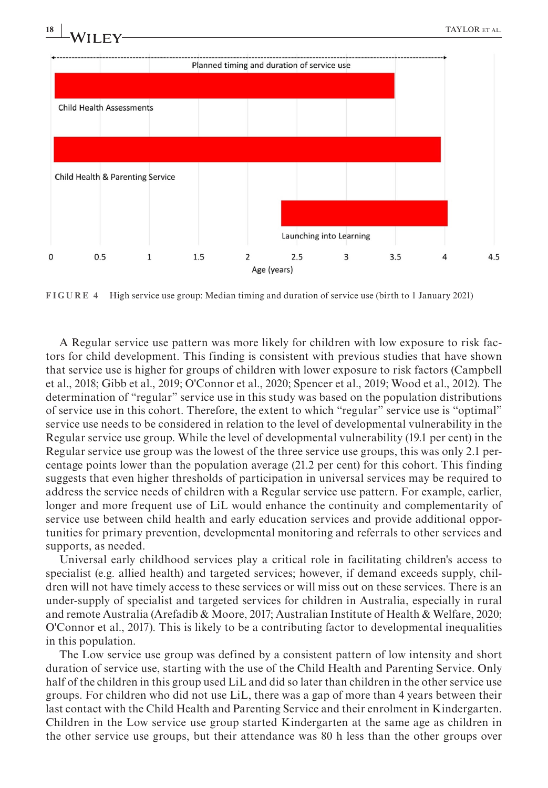

**FIGURE 4** High service use group: Median timing and duration of service use (birth to 1 January 2021)

A Regular service use pattern was more likely for children with low exposure to risk factors for child development. This finding is consistent with previous studies that have shown that service use is higher for groups of children with lower exposure to risk factors (Campbell et al., 2018; Gibb et al., 2019; O'Connor et al., 2020; Spencer et al., 2019; Wood et al., 2012). The determination of "regular" service use in this study was based on the population distributions of service use in this cohort. Therefore, the extent to which "regular" service use is "optimal" service use needs to be considered in relation to the level of developmental vulnerability in the Regular service use group. While the level of developmental vulnerability (19.1 per cent) in the Regular service use group was the lowest of the three service use groups, this was only 2.1 percentage points lower than the population average (21.2 per cent) for this cohort. This finding suggests that even higher thresholds of participation in universal services may be required to address the service needs of children with a Regular service use pattern. For example, earlier, longer and more frequent use of LiL would enhance the continuity and complementarity of service use between child health and early education services and provide additional opportunities for primary prevention, developmental monitoring and referrals to other services and supports, as needed.

Universal early childhood services play a critical role in facilitating children's access to specialist (e.g. allied health) and targeted services; however, if demand exceeds supply, children will not have timely access to these services or will miss out on these services. There is an under-supply of specialist and targeted services for children in Australia, especially in rural and remote Australia (Arefadib & Moore, 2017; Australian Institute of Health & Welfare, 2020; O'Connor et al., 2017). This is likely to be a contributing factor to developmental inequalities in this population.

The Low service use group was defined by a consistent pattern of low intensity and short duration of service use, starting with the use of the Child Health and Parenting Service. Only half of the children in this group used LiL and did so later than children in the other service use groups. For children who did not use LiL, there was a gap of more than 4 years between their last contact with the Child Health and Parenting Service and their enrolment in Kindergarten. Children in the Low service use group started Kindergarten at the same age as children in the other service use groups, but their attendance was 80 h less than the other groups over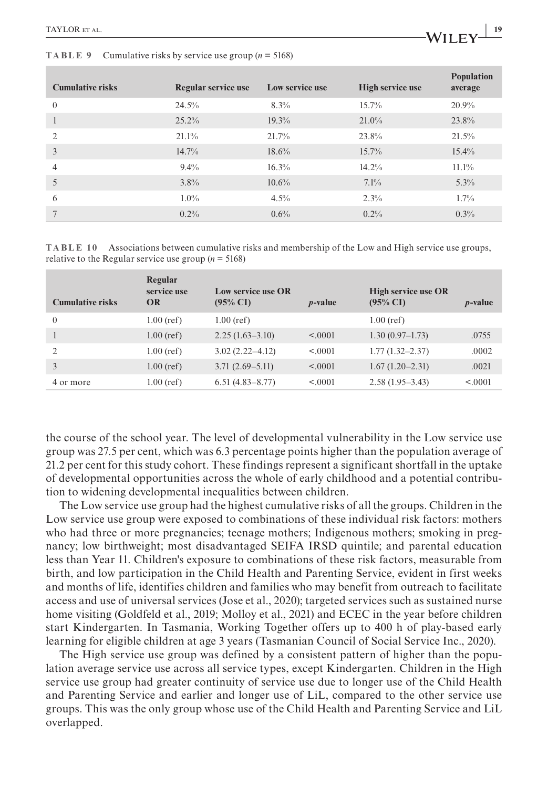| <b>Cumulative risks</b> | Regular service use | Low service use | High service use | <b>Population</b><br>average |
|-------------------------|---------------------|-----------------|------------------|------------------------------|
| $\Omega$                | 24.5%               | 8.3%            | 15.7%            | $20.9\%$                     |
|                         | $25.2\%$            | $19.3\%$        | $21.0\%$         | 23.8%                        |
| $\overline{2}$          | $21.1\%$            | 21.7%           | 23.8%            | 21.5%                        |
| 3                       | $14.7\%$            | 18.6%           | $15.7\%$         | 15.4%                        |
| $\overline{4}$          | $9.4\%$             | $16.3\%$        | $14.2\%$         | $11.1\%$                     |
| 5                       | $3.8\%$             | $10.6\%$        | $7.1\%$          | 5.3%                         |
| 6                       | $1.0\%$             | $4.5\%$         | $2.3\%$          | $1.7\%$                      |
|                         | $0.2\%$             | 0.6%            | $0.2\%$          | 0.3%                         |
|                         |                     |                 |                  |                              |

**TABLE 10** Associations between cumulative risks and membership of the Low and High service use groups, relative to the Regular service use group  $(n = 5168)$ 

| <b>Cumulative risks</b> | Regular<br>service use<br><b>OR</b> | Low service use OR<br>$(95\% \text{ CI})$ | <i>p</i> -value | High service use OR<br>$(95\% \text{ CI})$ | $p$ -value |
|-------------------------|-------------------------------------|-------------------------------------------|-----------------|--------------------------------------------|------------|
| $\theta$                | $1.00$ (ref)                        | $1.00$ (ref)                              |                 | $1.00$ (ref)                               |            |
|                         | $1.00$ (ref)                        | $2.25(1.63-3.10)$                         | < 0.0001        | $1.30(0.97-1.73)$                          | .0755      |
| 2                       | $1.00$ (ref)                        | $3.02(2.22 - 4.12)$                       | < 0.0001        | $1.77(1.32 - 2.37)$                        | .0002      |
|                         | $1.00$ (ref)                        | $3.71(2.69 - 5.11)$                       | < 0.0001        | $1.67(1.20-2.31)$                          | .0021      |
| 4 or more               | $1.00$ (ref)                        | $6.51(4.83 - 8.77)$                       | < 0.0001        | $2.58(1.95-3.43)$                          | < 0.0001   |

the course of the school year. The level of developmental vulnerability in the Low service use group was 27.5 per cent, which was 6.3 percentage points higher than the population average of 21.2 per cent for this study cohort. These findings represent a significant shortfall in the uptake of developmental opportunities across the whole of early childhood and a potential contribution to widening developmental inequalities between children.

The Low service use group had the highest cumulative risks of all the groups. Children in the Low service use group were exposed to combinations of these individual risk factors: mothers who had three or more pregnancies; teenage mothers; Indigenous mothers; smoking in pregnancy; low birthweight; most disadvantaged SEIFA IRSD quintile; and parental education less than Year 11. Children's exposure to combinations of these risk factors, measurable from birth, and low participation in the Child Health and Parenting Service, evident in first weeks and months of life, identifies children and families who may benefit from outreach to facilitate access and use of universal services (Jose et al., 2020); targeted services such as sustained nurse home visiting (Goldfeld et al., 2019; Molloy et al., 2021) and ECEC in the year before children start Kindergarten. In Tasmania, Working Together offers up to 400 h of play-based early learning for eligible children at age 3 years (Tasmanian Council of Social Service Inc., 2020).

The High service use group was defined by a consistent pattern of higher than the population average service use across all service types, except Kindergarten. Children in the High service use group had greater continuity of service use due to longer use of the Child Health and Parenting Service and earlier and longer use of LiL, compared to the other service use groups. This was the only group whose use of the Child Health and Parenting Service and LiL overlapped.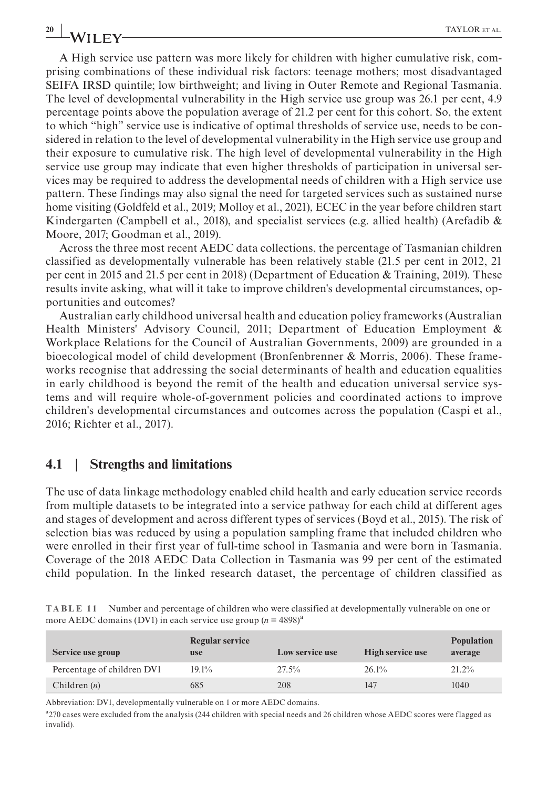A High service use pattern was more likely for children with higher cumulative risk, comprising combinations of these individual risk factors: teenage mothers; most disadvantaged SEIFA IRSD quintile; low birthweight; and living in Outer Remote and Regional Tasmania. The level of developmental vulnerability in the High service use group was 26.1 per cent, 4.9 percentage points above the population average of 21.2 per cent for this cohort. So, the extent to which "high" service use is indicative of optimal thresholds of service use, needs to be considered in relation to the level of developmental vulnerability in the High service use group and their exposure to cumulative risk. The high level of developmental vulnerability in the High service use group may indicate that even higher thresholds of participation in universal services may be required to address the developmental needs of children with a High service use pattern. These findings may also signal the need for targeted services such as sustained nurse home visiting (Goldfeld et al., 2019; Molloy et al., 2021), ECEC in the year before children start Kindergarten (Campbell et al., 2018), and specialist services (e.g. allied health) (Arefadib & Moore, 2017; Goodman et al., 2019).

Across the three most recent AEDC data collections, the percentage of Tasmanian children classified as developmentally vulnerable has been relatively stable (21.5 per cent in 2012, 21 per cent in 2015 and 21.5 per cent in 2018) (Department of Education & Training, 2019). These results invite asking, what will it take to improve children's developmental circumstances, opportunities and outcomes?

Australian early childhood universal health and education policy frameworks (Australian Health Ministers' Advisory Council, 2011; Department of Education Employment & Workplace Relations for the Council of Australian Governments, 2009) are grounded in a bioecological model of child development (Bronfenbrenner & Morris, 2006). These frameworks recognise that addressing the social determinants of health and education equalities in early childhood is beyond the remit of the health and education universal service systems and will require whole-of-government policies and coordinated actions to improve children's developmental circumstances and outcomes across the population (Caspi et al., 2016; Richter et al., 2017).

#### **4.1** | **Strengths and limitations**

The use of data linkage methodology enabled child health and early education service records from multiple datasets to be integrated into a service pathway for each child at different ages and stages of development and across different types of services (Boyd et al., 2015). The risk of selection bias was reduced by using a population sampling frame that included children who were enrolled in their first year of full-time school in Tasmania and were born in Tasmania. Coverage of the 2018 AEDC Data Collection in Tasmania was 99 per cent of the estimated child population. In the linked research dataset, the percentage of children classified as

| TABLE 11 Number and percentage of children who were classified at developmentally vulnerable on one or |
|--------------------------------------------------------------------------------------------------------|
| more AEDC domains (DV1) in each service use group $(n = 4898)^{a}$                                     |

| Service use group          | Regular service<br><b>use</b> | Low service use | <b>High service use</b> | <b>Population</b><br>average |
|----------------------------|-------------------------------|-----------------|-------------------------|------------------------------|
| Percentage of children DV1 | 19.1%                         | 27.5%           | 26.1%                   | $21.2\%$                     |
| Children $(n)$             | 685                           | 208             | 147                     | 1040                         |

Abbreviation: DV1, developmentally vulnerable on 1 or more AEDC domains.

<sup>a</sup>270 cases were excluded from the analysis (244 children with special needs and 26 children whose AEDC scores were flagged as invalid).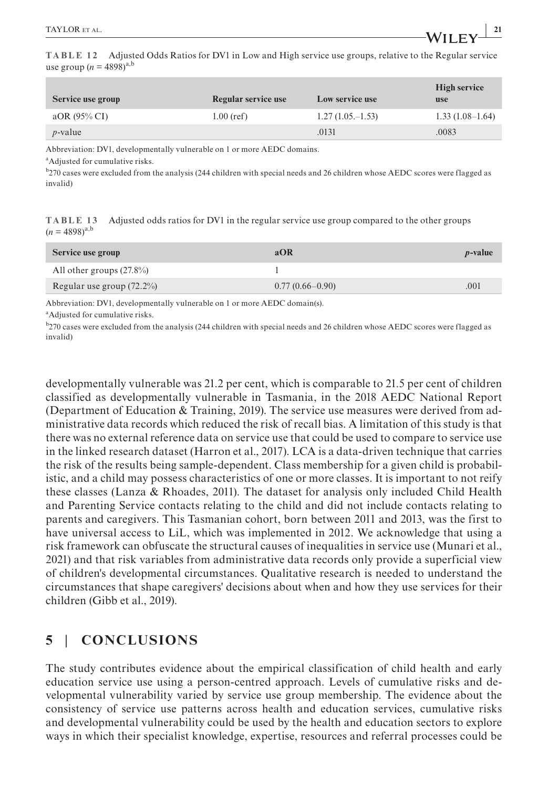**TABLE 12** Adjusted Odds Ratios for DV1 in Low and High service use groups, relative to the Regular service use group ( $n = 4898$ )<sup>a,b</sup>

| Service use group | Regular service use | Low service use    | <b>High service</b><br><b>use</b> |
|-------------------|---------------------|--------------------|-----------------------------------|
| aOR (95% CI)      | $1.00$ (ref)        | $1.27(1.05,-1.53)$ | $1.33(1.08-1.64)$                 |
| $p$ -value        |                     | .0131              | .0083                             |

Abbreviation: DV1, developmentally vulnerable on 1 or more AEDC domains.

a Adjusted for cumulative risks.

<sup>b</sup>270 cases were excluded from the analysis (244 children with special needs and 26 children whose AEDC scores were flagged as invalid)

**TABLE 13** Adjusted odds ratios for DV1 in the regular service use group compared to the other groups  $(n = 4898)^{a,b}$ 

| Service use group            | aOR                 | <i>p</i> -value |
|------------------------------|---------------------|-----------------|
| All other groups $(27.8\%)$  |                     |                 |
| Regular use group $(72.2\%)$ | $0.77(0.66 - 0.90)$ | .001            |

Abbreviation: DV1, developmentally vulnerable on 1 or more AEDC domain(s).

a Adjusted for cumulative risks.

<sup>b</sup>270 cases were excluded from the analysis (244 children with special needs and 26 children whose AEDC scores were flagged as invalid)

developmentally vulnerable was 21.2 per cent, which is comparable to 21.5 per cent of children classified as developmentally vulnerable in Tasmania, in the 2018 AEDC National Report (Department of Education & Training, 2019). The service use measures were derived from administrative data records which reduced the risk of recall bias. A limitation of this study is that there was no external reference data on service use that could be used to compare to service use in the linked research dataset (Harron et al., 2017). LCA is a data-driven technique that carries the risk of the results being sample-dependent. Class membership for a given child is probabilistic, and a child may possess characteristics of one or more classes. It is important to not reify these classes (Lanza & Rhoades, 2011). The dataset for analysis only included Child Health and Parenting Service contacts relating to the child and did not include contacts relating to parents and caregivers. This Tasmanian cohort, born between 2011 and 2013, was the first to have universal access to LiL, which was implemented in 2012. We acknowledge that using a risk framework can obfuscate the structural causes of inequalities in service use (Munari et al., 2021) and that risk variables from administrative data records only provide a superficial view of children's developmental circumstances. Qualitative research is needed to understand the circumstances that shape caregivers' decisions about when and how they use services for their children (Gibb et al., 2019).

## **5** | **CONCLUSIONS**

The study contributes evidence about the empirical classification of child health and early education service use using a person-centred approach. Levels of cumulative risks and developmental vulnerability varied by service use group membership. The evidence about the consistency of service use patterns across health and education services, cumulative risks and developmental vulnerability could be used by the health and education sectors to explore ways in which their specialist knowledge, expertise, resources and referral processes could be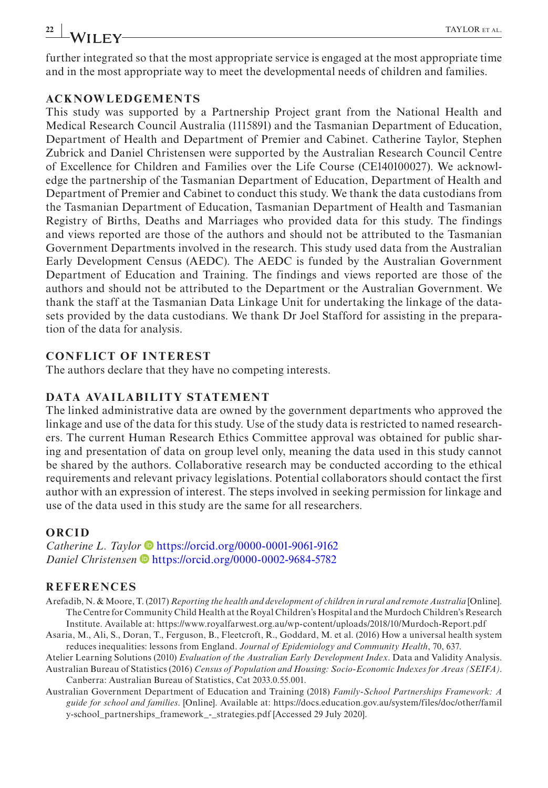**22 |** TAYLOR et al.

further integrated so that the most appropriate service is engaged at the most appropriate time and in the most appropriate way to meet the developmental needs of children and families.

#### **ACKNOWLEDGEMENTS**

This study was supported by a Partnership Project grant from the National Health and Medical Research Council Australia (1115891) and the Tasmanian Department of Education, Department of Health and Department of Premier and Cabinet. Catherine Taylor, Stephen Zubrick and Daniel Christensen were supported by the Australian Research Council Centre of Excellence for Children and Families over the Life Course (CE140100027). We acknowledge the partnership of the Tasmanian Department of Education, Department of Health and Department of Premier and Cabinet to conduct this study. We thank the data custodians from the Tasmanian Department of Education, Tasmanian Department of Health and Tasmanian Registry of Births, Deaths and Marriages who provided data for this study. The findings and views reported are those of the authors and should not be attributed to the Tasmanian Government Departments involved in the research. This study used data from the Australian Early Development Census (AEDC). The AEDC is funded by the Australian Government Department of Education and Training. The findings and views reported are those of the authors and should not be attributed to the Department or the Australian Government. We thank the staff at the Tasmanian Data Linkage Unit for undertaking the linkage of the datasets provided by the data custodians. We thank Dr Joel Stafford for assisting in the preparation of the data for analysis.

#### **CONFLICT OF INTEREST**

The authors declare that they have no competing interests.

#### **DATA AVAILABILITY STATEMENT**

The linked administrative data are owned by the government departments who approved the linkage and use of the data for this study. Use of the study data is restricted to named researchers. The current Human Research Ethics Committee approval was obtained for public sharing and presentation of data on group level only, meaning the data used in this study cannot be shared by the authors. Collaborative research may be conducted according to the ethical requirements and relevant privacy legislations. Potential collaborators should contact the first author with an expression of interest. The steps involved in seeking permission for linkage and use of the data used in this study are the same for all researchers.

#### **ORCID**

*Cathe[r](https://orcid.org/0000-0002-9684-5782)ine L. Taylor*  $\bullet$  <https://orcid.org/0000-0001-9061-9162> *Daniel Christensen* D<https://orcid.org/0000-0002-9684-5782>

#### **REFERENCES**

- Arefadib, N. & Moore, T. (2017) *Reporting the health and development of children in rural and remote Australia* [Online]. The Centre for Community Child Health at the Royal Children's Hospital and the Murdoch Children's Research Institute. Available at: <https://www.royalfarwest.org.au/wp-content/uploads/2018/10/Murdoch-Report.pdf>
- Asaria, M., Ali, S., Doran, T., Ferguson, B., Fleetcroft, R., Goddard, M. et al. (2016) How a universal health system reduces inequalities: lessons from England. *Journal of Epidemiology and Community Health*, 70, 637.
- Atelier Learning Solutions (2010) *Evaluation of the Australian Early Development Index*. Data and Validity Analysis. Australian Bureau of Statistics (2016) *Census of Population and Housing: Socio-Economic Indexes for Areas (SEIFA)*. Canberra: Australian Bureau of Statistics, Cat 2033.0.55.001.
- Australian Government Department of Education and Training (2018) *Family-School Partnerships Framework: A guide for school and families*. [Online]. Available at: [https://docs.education.gov.au/system/files/doc/other/famil](https://docs.education.gov.au/system/files/doc/other/family-school_partnerships_framework_-_strategies.pdf) [y-school\\_partnerships\\_framework\\_-\\_strategies.pdf](https://docs.education.gov.au/system/files/doc/other/family-school_partnerships_framework_-_strategies.pdf) [Accessed 29 July 2020].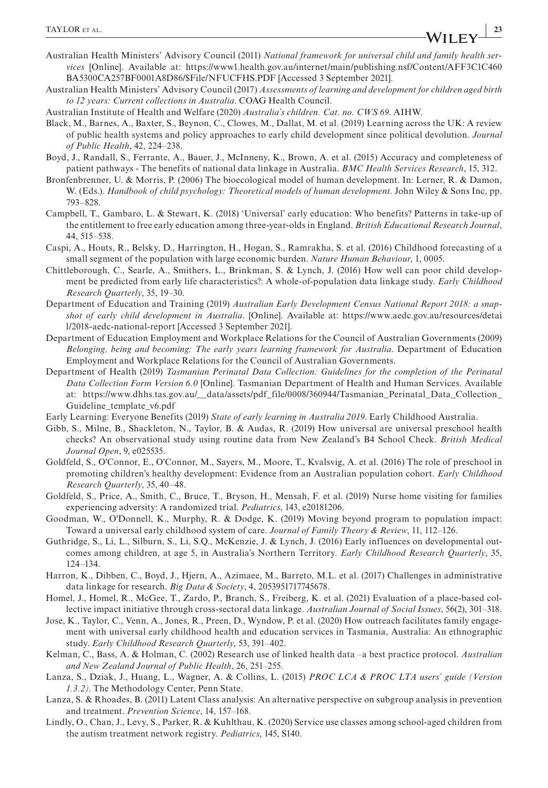- Australian Health Ministers' Advisory Council (2011) *National framework for universal child and family health services* [Online]. Available at: [https://www1.health.gov.au/internet/main/publishing.nsf/Content/AFF3C1C460](https://www1.health.gov.au/internet/main/publishing.nsf/Content/AFF3C1C460BA5300CA257BF0001A8D86/$File/NFUCFHS.PDF) [BA5300CA257BF0001A8D86/\\$File/NFUCFHS.PDF](https://www1.health.gov.au/internet/main/publishing.nsf/Content/AFF3C1C460BA5300CA257BF0001A8D86/$File/NFUCFHS.PDF) [Accessed 3 September 2021].
- Australian Health Ministers' Advisory Council (2017) *Assessments of learning and development for children aged birth to 12 years: Current collections in Australia*. COAG Health Council.
- Australian Institute of Health and Welfare (2020) *Australia's children. Cat. no. CWS 69*. AIHW.
- Black, M., Barnes, A., Baxter, S., Beynon, C., Clowes, M., Dallat, M. et al. (2019) Learning across the UK: A review of public health systems and policy approaches to early child development since political devolution. *Journal of Public Health*, 42, 224–238.
- Boyd, J., Randall, S., Ferrante, A., Bauer, J., McInneny, K., Brown, A. et al. (2015) Accuracy and completeness of patient pathways - The benefits of national data linkage in Australia. *BMC Health Services Research*, 15, 312.
- Bronfenbrenner, U. & Morris, P. (2006) The bioecological model of human development. In: Lerner, R. & Damon, W. (Eds.). *Handbook of child psychology: Theoretical models of human development*. John Wiley & Sons Inc, pp. 793–828.
- Campbell, T., Gambaro, L. & Stewart, K. (2018) 'Universal' early education: Who benefits? Patterns in take-up of the entitlement to free early education among three-year-olds in England. *British Educational Research Journal*, 44, 515–538.
- Caspi, A., Houts, R., Belsky, D., Harrington, H., Hogan, S., Ramrakha, S. et al. (2016) Childhood forecasting of a small segment of the population with large economic burden. *Nature Human Behaviour*, 1, 0005.
- Chittleborough, C., Searle, A., Smithers, L., Brinkman, S. & Lynch, J. (2016) How well can poor child development be predicted from early life characteristics?: A whole-of-population data linkage study. *Early Childhood Research Quarterly*, 35, 19–30.
- Department of Education and Training (2019) *Australian Early Development Census National Report 2018: a snapshot of early child development in Australia*. [Online]. Available at: [https://www.aedc.gov.au/resources/detai](https://www.aedc.gov.au/resources/detail/2018-aedc-national-report) [l/2018-aedc-national-report](https://www.aedc.gov.au/resources/detail/2018-aedc-national-report) [Accessed 3 September 2021].
- Department of Education Employment and Workplace Relations for the Council of Australian Governments (2009) *Belonging, being and becoming: The early years learning framework for Australia*. Department of Education Employment and Workplace Relations for the Council of Australian Governments.
- Department of Health (2019) *Tasmanian Perinatal Data Collection: Guidelines for the completion of the Perinatal Data Collection Form Version 6.0* [Online]. Tasmanian Department of Health and Human Services. Available at: [https://www.dhhs.tas.gov.au/\\_\\_data/assets/pdf\\_file/0008/360944/Tasmanian\\_Perinatal\\_Data\\_Collection\\_](https://www.dhhs.tas.gov.au/__data/assets/pdf_file/0008/360944/Tasmanian_Perinatal_Data_Collection_Guideline_template_v6.pdf) [Guideline\\_template\\_v6.pdf](https://www.dhhs.tas.gov.au/__data/assets/pdf_file/0008/360944/Tasmanian_Perinatal_Data_Collection_Guideline_template_v6.pdf)
- Early Learning: Everyone Benefits (2019) *State of early learning in Australia 2019*. Early Childhood Australia.
- Gibb, S., Milne, B., Shackleton, N., Taylor, B. & Audas, R. (2019) How universal are universal preschool health checks? An observational study using routine data from New Zealand's B4 School Check. *British Medical Journal Open*, 9, e025535.
- Goldfeld, S., O'Connor, E., O'Connor, M., Sayers, M., Moore, T., Kvalsvig, A. et al. (2016) The role of preschool in promoting children's healthy development: Evidence from an Australian population cohort. *Early Childhood Research Quarterly*, 35, 40–48.
- Goldfeld, S., Price, A., Smith, C., Bruce, T., Bryson, H., Mensah, F. et al. (2019) Nurse home visiting for families experiencing adversity: A randomized trial. *Pediatrics*, 143, e20181206.
- Goodman, W., O'Donnell, K., Murphy, R. & Dodge, K. (2019) Moving beyond program to population impact: Toward a universal early childhood system of care. *Journal of Family Theory & Review*, 11, 112–126.
- Guthridge, S., Li, L., Silburn, S., Li, S.Q., McKenzie, J. & Lynch, J. (2016) Early influences on developmental outcomes among children, at age 5, in Australia's Northern Territory. *Early Childhood Research Quarterly*, 35, 124–134.
- Harron, K., Dibben, C., Boyd, J., Hjern, A., Azimaee, M., Barreto, M.L. et al. (2017) Challenges in administrative data linkage for research. *Big Data & Society*, 4, 2053951717745678.
- Homel, J., Homel, R., McGee, T., Zardo, P., Branch, S., Freiberg, K. et al. (2021) Evaluation of a place-based collective impact initiative through cross-sectoral data linkage. *Australian Journal of Social Issues*, 56(2), 301–318.
- Jose, K., Taylor, C., Venn, A., Jones, R., Preen, D., Wyndow, P. et al. (2020) How outreach facilitates family engagement with universal early childhood health and education services in Tasmania, Australia: An ethnographic study. *Early Childhood Research Quarterly*, 53, 391–402.
- Kelman, C., Bass, A. & Holman, C. (2002) Research use of linked health data –a best practice protocol. *Australian and New Zealand Journal of Public Health*, 26, 251–255.
- Lanza, S., Dziak, J., Huang, L., Wagner, A. & Collins, L. (2015) *PROC LCA & PROC LTA users' guide (Version 1.3.2)*. The Methodology Center, Penn State.
- Lanza, S. & Rhoades, B. (2011) Latent Class analysis: An alternative perspective on subgroup analysis in prevention and treatment. *Prevention Science*, 14, 157–168.
- Lindly, O., Chan, J., Levy, S., Parker, R. & Kuhlthau, K. (2020) Service use classes among school-aged children from the autism treatment network registry. *Pediatrics*, 145, S140.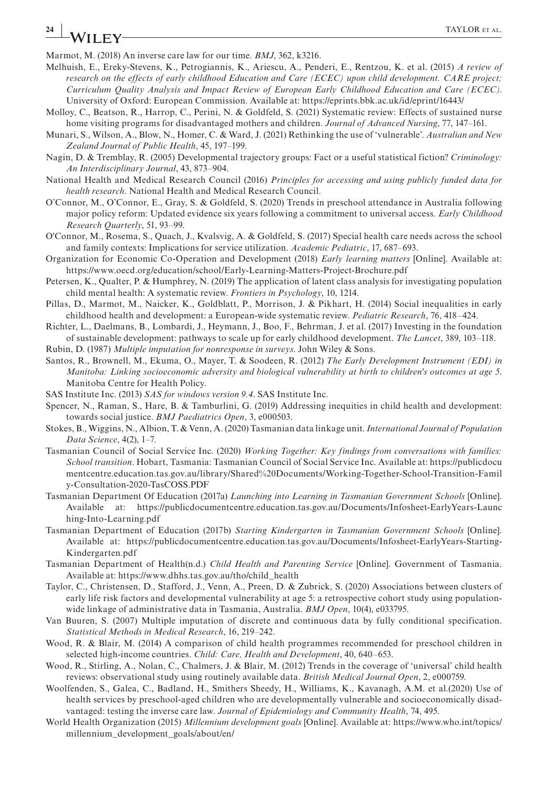# **24 WII FV II FV**

Marmot, M. (2018) An inverse care law for our time. *BMJ*, 362, k3216.

- Melhuish, E., Ereky-Stevens, K., Petrogiannis, K., Ariescu, A., Penderi, E., Rentzou, K. et al. (2015) *A review of research on the effects of early childhood Education and Care (ECEC) upon child development. CARE project; Curriculum Quality Analysis and Impact Review of European Early Childhood Education and Care (ECEC)*. University of Oxford: European Commission. Available at:<https://eprints.bbk.ac.uk/id/eprint/16443/>
- Molloy, C., Beatson, R., Harrop, C., Perini, N. & Goldfeld, S. (2021) Systematic review: Effects of sustained nurse home visiting programs for disadvantaged mothers and children. *Journal of Advanced Nursing*, 77, 147–161.
- Munari, S., Wilson, A., Blow, N., Homer, C. & Ward, J. (2021) Rethinking the use of 'vulnerable'. *Australian and New Zealand Journal of Public Health*, 45, 197–199.
- Nagin, D. & Tremblay, R. (2005) Developmental trajectory groups: Fact or a useful statistical fiction? *Criminology: An Interdisciplinary Journal*, 43, 873–904.
- National Health and Medical Research Council (2016) *Principles for accessing and using publicly funded data for health research*. National Health and Medical Research Council.
- O'Connor, M., O'Connor, E., Gray, S. & Goldfeld, S. (2020) Trends in preschool attendance in Australia following major policy reform: Updated evidence six years following a commitment to universal access. *Early Childhood Research Quarterly*, 51, 93–99.
- O'Connor, M., Rosema, S., Quach, J., Kvalsvig, A. & Goldfeld, S. (2017) Special health care needs across the school and family contexts: Implications for service utilization. *Academic Pediatric*, 17, 687–693.
- Organization for Economic Co-Operation and Development (2018) *Early learning matters* [Online]. Available at: <https://www.oecd.org/education/school/Early-Learning-Matters-Project-Brochure.pdf>
- Petersen, K., Qualter, P. & Humphrey, N. (2019) The application of latent class analysis for investigating population child mental health: A systematic review. *Frontiers in Psychology*, 10, 1214.
- Pillas, D., Marmot, M., Naicker, K., Goldblatt, P., Morrison, J. & Pikhart, H. (2014) Social inequalities in early childhood health and development: a European-wide systematic review. *Pediatric Research*, 76, 418–424.
- Richter, L., Daelmans, B., Lombardi, J., Heymann, J., Boo, F., Behrman, J. et al. (2017) Investing in the foundation of sustainable development: pathways to scale up for early childhood development. *The Lancet*, 389, 103–118.
- Rubin, D. (1987) *Multiple imputation for nonresponse in surveys*. John Wiley & Sons.
- Santos, R., Brownell, M., Ekuma, O., Mayer, T. & Soodeen, R. (2012) *The Early Development Instrument (EDI) in Manitoba: Linking socioeconomic adversity and biological vulnerability at birth to children's outcomes at age 5*. Manitoba Centre for Health Policy.
- SAS Institute Inc. (2013) *SAS for windows version 9.4*. SAS Institute Inc.
- Spencer, N., Raman, S., Hare, B. & Tamburlini, G. (2019) Addressing inequities in child health and development: towards social justice. *BMJ Paediatrics Open*, 3, e000503.
- Stokes, B., Wiggins, N., Albion, T. & Venn, A. (2020) Tasmanian data linkage unit. *International Journal of Population Data Science*, 4(2), 1–7.
- Tasmanian Council of Social Service Inc. (2020) *Working Together: Key findings from conversations with families: School transition*. Hobart, Tasmania: Tasmanian Council of Social Service Inc. Available at: [https://publicdocu](https://publicdocumentcentre.education.tas.gov.au/library/Shared Documents/Working-Together-School-Transition-Family-Consultation-2020-TasCOSS.PDF) [mentcentre.education.tas.gov.au/library/Shared%20Documents/Working-Together-School-Transition-Famil](https://publicdocumentcentre.education.tas.gov.au/library/Shared Documents/Working-Together-School-Transition-Family-Consultation-2020-TasCOSS.PDF) [y-Consultation-2020-TasCOSS.PDF](https://publicdocumentcentre.education.tas.gov.au/library/Shared Documents/Working-Together-School-Transition-Family-Consultation-2020-TasCOSS.PDF)
- Tasmanian Department Of Education (2017a) *Launching into Learning in Tasmanian Government Schools* [Online]. Available at: [https://publicdocumentcentre.education.tas.gov.au/Documents/Infosheet-EarlyYears-Launc](https://publicdocumentcentre.education.tas.gov.au/Documents/Infosheet-EarlyYears-Launching-Into-Learning.pdf) [hing-Into-Learning.pdf](https://publicdocumentcentre.education.tas.gov.au/Documents/Infosheet-EarlyYears-Launching-Into-Learning.pdf)
- Tasmanian Department of Education (2017b) *Starting Kindergarten in Tasmanian Government Schools* [Online]. Available at: [https://publicdocumentcentre.education.tas.gov.au/Documents/Infosheet-EarlyYears-Starting-](https://publicdocumentcentre.education.tas.gov.au/Documents/Infosheet-EarlyYears-Starting-Kindergarten.pdf)[Kindergarten.pdf](https://publicdocumentcentre.education.tas.gov.au/Documents/Infosheet-EarlyYears-Starting-Kindergarten.pdf)
- Tasmanian Department of Health(n.d.) *Child Health and Parenting Service* [Online]. Government of Tasmania. Available at: [https://www.dhhs.tas.gov.au/tho/child\\_health](https://www.dhhs.tas.gov.au/tho/child_health)
- Taylor, C., Christensen, D., Stafford, J., Venn, A., Preen, D. & Zubrick, S. (2020) Associations between clusters of early life risk factors and developmental vulnerability at age 5: a retrospective cohort study using populationwide linkage of administrative data in Tasmania, Australia. *BMJ Open*, 10(4), e033795.
- Van Buuren, S. (2007) Multiple imputation of discrete and continuous data by fully conditional specification. *Statistical Methods in Medical Research*, 16, 219–242.
- Wood, R. & Blair, M. (2014) A comparison of child health programmes recommended for preschool children in selected high-income countries. *Child: Care, Health and Development*, 40, 640–653.
- Wood, R., Stirling, A., Nolan, C., Chalmers, J. & Blair, M. (2012) Trends in the coverage of 'universal' child health reviews: observational study using routinely available data. *British Medical Journal Open*, 2, e000759.
- Woolfenden, S., Galea, C., Badland, H., Smithers Sheedy, H., Williams, K., Kavanagh, A.M. et al.(2020) Use of health services by preschool-aged children who are developmentally vulnerable and socioeconomically disadvantaged: testing the inverse care law. *Journal of Epidemiology and Community Health*, 74, 495.
- World Health Organization (2015) *Millennium development goals* [Online]. Available at: [https://www.who.int/topics/](https://www.who.int/topics/millennium_development_goals/about/en/) [millennium\\_development\\_goals/about/en/](https://www.who.int/topics/millennium_development_goals/about/en/)